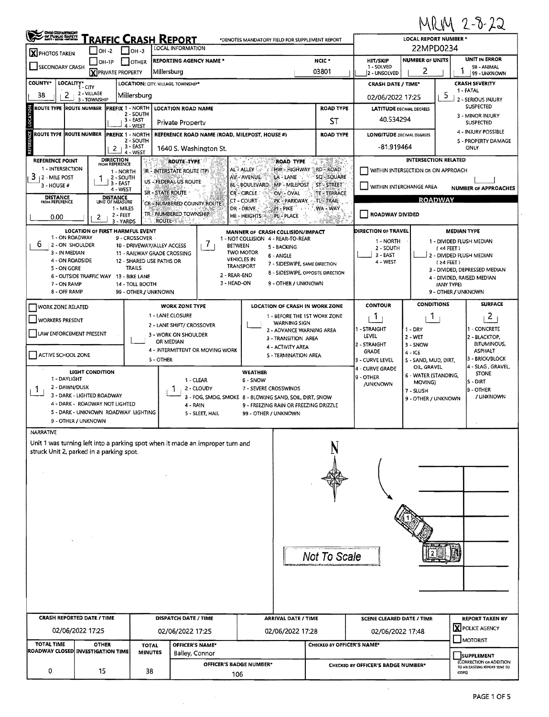## $M01M25.22$

| LOCAL INFORMATION<br>$\Box$ OH-3<br>$1$ low-2<br><b>X</b> PHOTOS TAKEN<br><b>NUMBER OF UNITS</b><br>NCIC <sup>*</sup><br><b>REPORTING AGENCY NAME*</b><br><b>HIT/SKIP</b><br>$LOH-1P$<br>  OTHER<br>SECONDARY CRASH<br>1 - SOLVED<br>2<br>03801<br><b>X</b> PRIVATE PROPERTY<br>Millersburg<br>2 - UNSOLVED<br><b>COUNTY*</b><br>LOCALITY* CITY<br>LOCATION: CITY, VILLAGE, TOWNSHIP*<br><b>CRASH DATE / TIME*</b><br>2 - VILLAGE<br>2<br>5<br>38<br>Millersburg<br>02/06/2022 17:25<br>3 - TOWNSHIP<br>LOCATION<br><b>ROAD TYPE</b><br><b>ROUTE TYPE ROUTE NUMBER</b><br><b>PREFIX 1 - NORTH</b><br><b>LOCATION ROAD NAME</b><br><b>LATITUDE DECIMAL DEGREES</b><br>2 - SOUTH<br>40.534294<br>$3 - EAST$<br>ST<br>Private Property<br>4 - WEST<br>REFERENCE<br>ROUTE TYPE ROUTE NUMBER<br><b>PREFIX 1 - NORTH</b><br>REFERENCE ROAD NAME (ROAD, MILEPOST, HOUSE #)<br><b>ROAD TYPE</b><br><b>LONGITUDE DECIMAL DEGREES</b><br>2 - SOUTH<br>3 EAST<br>-81.919464<br>1640 S. Washington St.<br>2 <sub>1</sub><br>4 - WEST<br><b>DIRECTION</b><br><b>INTERSECTION RELATED</b><br>医阴蒂素<br>REFERENCE POINT<br>ROUTE TYPE<br><b>ROAD TYPE</b><br>FROM REFERENCE<br>1 - INTERSECTION<br>HW-HIGHWAY RD-ROAD<br>AL's ALLEY<br>WITHIN INTERSECTION OR ON APPROACH<br>IR - INTERSTATE ROUTE (TP)<br>1 - NORTH<br>3<br>SQ-SQUARE<br>AV - AVENUE.<br>LA LANE<br><b>2 - MILE POST</b><br>2-SOUTH<br>T.<br>US - FEDERAL US ROUTE<br>$3 - EAST$<br><b>BL-BOULEVARD</b><br>MP-MILEPOST<br>ST-STREET<br>3 - HOUSE #<br>WITHIN INTERCHANGE AREA<br>4 - WEST<br><b>SR - STATE ROUTE</b><br><b>CR-CIRCLE</b><br>OV - OVAL<br>TE - TERRACE<br><b>DISTANCE</b><br><b>DISTANCE</b><br><b>ROADWAY</b><br>CT - COURT<br>PK - PARKWAY<br>TL-TRAIL<br>FROM REFERENCE<br>UNIT OF MEASURE<br>CR-NUMBERED COUNTY ROUTE<br>WA - WAY.<br>1 - MILES<br>DR - DRIVE.<br>21 - PIKE<br>TRE NUMBERED TOWNSHIP<br>ROADWAY DIVIDED<br>2 - FEET<br>HE - HEIGHTS<br><b>PL-PLACE</b><br>0.00<br>2<br><b>ROUTE</b><br>3 - YARDS<br>$\frac{1}{2}$<br>げんしちゃ<br><b>LOCATION OF FIRST HARMFUL EVENT</b><br><b>DIRECTION OF TRAVEL</b><br>MANNER OF CRASH COLLISION/IMPACT<br>1 - ON ROADWAY<br>9 - CROSSOVER -<br>1 - NOT COLLISION 4 - REAR-TO-REAR<br>1 - NORTH<br>7<br>6<br>2 - ON SHOULDER<br>10 - DRIVEWAY/ALLEY ACCESS<br><b>BETWEEN</b><br>5 - BACKING<br>2 - SOUTH<br>$($ <4 FEET $)$<br><b>TWO MOTOR</b><br>3 - IN MEDIAN<br>11 - RAILWAY GRADE CROSSING<br>3 - EAST<br>6 - ANGLE<br><b>VEHICLES IN</b><br>4 - ON ROADSIDE<br>12 - SHARED USE PATHS OR<br>4 - WEST<br>$(24$ FEET)<br>7 - SIDESWIPE, SAME DIRECTION<br><b>TRANSPORT</b><br>TRAILS<br>5 - ON GORE<br>3 - DIVIDED, DEPRESSED MEDIAN<br>8 - SIDESWIPE, OPPOSITE DIRECTION<br>2 - REAR-END<br>6 - OUTSIDE TRAFFIC WAY 13 - BIKE LANE<br>3 - HEAD-ON<br>9 - OTHER / UNKNOWN<br>7 - ON RAMP<br>14 - TOLL BOOTH<br>(ANY TYPE)<br>8 - OFF RAMP<br>99 - OTHER / UNKNOWN<br><b>CONDITIONS</b><br><b>CONTOUR</b><br><b>WORK ZONE TYPE</b><br>LOCATION OF CRASH IN WORK ZONE<br><b>WORK ZONE RELATED</b><br>1 - LANE CLOSURE<br>1 - BEFORE THE 1ST WORK ZONE<br>L<br>T.<br><b>WORKERS PRESENT</b><br><b>WARNING SIGN</b><br>2 - LANE SHIFT/ CROSSOVER<br>1 - STRAIGHT<br>$1 - DRY$<br>2 - ADVANCE WARNING AREA<br>LAW ENFORCEMENT PRESENT<br>3 - WORK ON SHOULDER<br>LEVEL<br>2 - WET<br>3 - TRANSITION AREA<br>OR MEDIAN<br>2 - STRAIGHT<br>3 - SNOW<br>4 - ACTIVITY AREA<br>4 - INTERMITTENT OR MOVING WORK<br><b>GRADE</b><br>4 - ICE<br>ACTIVE SCHOOL ZONE<br>5 - TERMINATION AREA<br>5 - OTHER<br>3 - CURVE LEVEL<br>5 - SAND, MUD, DIRT,<br>OIL GRAVEL<br>4 - CURVE GRADE<br>LIGHT CONDITION<br>WEATHER<br>6 - WATER (STANDING,<br>9 - OTHER<br>1 - DAYLIGHT<br>1 CLEAR<br>6 - SNOW<br>MOVING)<br>/UNKNOWN<br>2 - DAWN/DUSK<br>2 - CLOUDY<br>7 - SEVERE CROSSWINDS<br>T.<br>7 - SLUSH<br>3 - DARK - LIGHTED ROADWAY<br>3 - FOG, SMOG, SMOKE 8 - 8LOWING SAND, SOIL, DIRT, SNOW<br>9 - OTHER / UNKNOWN<br>4 - DARK - ROADWAY NOT LIGHTED<br>4 - RAIN<br>9 - FREEZING RAIN OR FREEZING DRIZZLE<br>5 - DARK - UNKNOWN ROADWAY LIGHTING<br>5 - SLEET, HAIL<br>99 - OTHER / UNKNOWN<br>9 - OTHER / UNKNOWN<br>NARRATIVE<br>Unit 1 was turning left into a parking spot when it made an improper turn and<br>struck Unit 2, parked in a parking spot.<br>Not To Scale<br><b>CRASH REPORTED DATE / TIME</b><br>DISPATCH DATE / TIME<br>ARRIVAL DATE / TIME<br><b>SCENE CLEARED DATE / TIME</b><br>02/06/2022 17:25<br>02/06/2022 17:25<br>02/06/2022 17:28<br>02/06/2022 17:48 | MUY 2-0-22<br>LOCAL REPORT NUMBER *<br>*DENOTES MANDATORY FIELD FOR SUPPLEMENT REPORT |                                                          |  |
|-------------------------------------------------------------------------------------------------------------------------------------------------------------------------------------------------------------------------------------------------------------------------------------------------------------------------------------------------------------------------------------------------------------------------------------------------------------------------------------------------------------------------------------------------------------------------------------------------------------------------------------------------------------------------------------------------------------------------------------------------------------------------------------------------------------------------------------------------------------------------------------------------------------------------------------------------------------------------------------------------------------------------------------------------------------------------------------------------------------------------------------------------------------------------------------------------------------------------------------------------------------------------------------------------------------------------------------------------------------------------------------------------------------------------------------------------------------------------------------------------------------------------------------------------------------------------------------------------------------------------------------------------------------------------------------------------------------------------------------------------------------------------------------------------------------------------------------------------------------------------------------------------------------------------------------------------------------------------------------------------------------------------------------------------------------------------------------------------------------------------------------------------------------------------------------------------------------------------------------------------------------------------------------------------------------------------------------------------------------------------------------------------------------------------------------------------------------------------------------------------------------------------------------------------------------------------------------------------------------------------------------------------------------------------------------------------------------------------------------------------------------------------------------------------------------------------------------------------------------------------------------------------------------------------------------------------------------------------------------------------------------------------------------------------------------------------------------------------------------------------------------------------------------------------------------------------------------------------------------------------------------------------------------------------------------------------------------------------------------------------------------------------------------------------------------------------------------------------------------------------------------------------------------------------------------------------------------------------------------------------------------------------------------------------------------------------------------------------------------------------------------------------------------------------------------------------------------------------------------------------------------------------------------------------------------------------------------------------------------------------------------------------------------------------------------------------------------------------------------------------------------------------------------------------------------------------------------------------------------------------------------------------------------------------------------------------------------------------------------------------------------------------------------------------------------------------------------------------------------------|---------------------------------------------------------------------------------------|----------------------------------------------------------|--|
|                                                                                                                                                                                                                                                                                                                                                                                                                                                                                                                                                                                                                                                                                                                                                                                                                                                                                                                                                                                                                                                                                                                                                                                                                                                                                                                                                                                                                                                                                                                                                                                                                                                                                                                                                                                                                                                                                                                                                                                                                                                                                                                                                                                                                                                                                                                                                                                                                                                                                                                                                                                                                                                                                                                                                                                                                                                                                                                                                                                                                                                                                                                                                                                                                                                                                                                                                                                                                                                                                                                                                                                                                                                                                                                                                                                                                                                                                                                                                                                                                                                                                                                                                                                                                                                                                                                                                                                                                                                                                           | 22MPD0234                                                                             |                                                          |  |
|                                                                                                                                                                                                                                                                                                                                                                                                                                                                                                                                                                                                                                                                                                                                                                                                                                                                                                                                                                                                                                                                                                                                                                                                                                                                                                                                                                                                                                                                                                                                                                                                                                                                                                                                                                                                                                                                                                                                                                                                                                                                                                                                                                                                                                                                                                                                                                                                                                                                                                                                                                                                                                                                                                                                                                                                                                                                                                                                                                                                                                                                                                                                                                                                                                                                                                                                                                                                                                                                                                                                                                                                                                                                                                                                                                                                                                                                                                                                                                                                                                                                                                                                                                                                                                                                                                                                                                                                                                                                                           |                                                                                       | <b>UNIT IN ERROR</b><br>98 - ANIMAL                      |  |
|                                                                                                                                                                                                                                                                                                                                                                                                                                                                                                                                                                                                                                                                                                                                                                                                                                                                                                                                                                                                                                                                                                                                                                                                                                                                                                                                                                                                                                                                                                                                                                                                                                                                                                                                                                                                                                                                                                                                                                                                                                                                                                                                                                                                                                                                                                                                                                                                                                                                                                                                                                                                                                                                                                                                                                                                                                                                                                                                                                                                                                                                                                                                                                                                                                                                                                                                                                                                                                                                                                                                                                                                                                                                                                                                                                                                                                                                                                                                                                                                                                                                                                                                                                                                                                                                                                                                                                                                                                                                                           |                                                                                       | 99 - UNKNOWN<br><b>CRASH SEVERITY</b>                    |  |
|                                                                                                                                                                                                                                                                                                                                                                                                                                                                                                                                                                                                                                                                                                                                                                                                                                                                                                                                                                                                                                                                                                                                                                                                                                                                                                                                                                                                                                                                                                                                                                                                                                                                                                                                                                                                                                                                                                                                                                                                                                                                                                                                                                                                                                                                                                                                                                                                                                                                                                                                                                                                                                                                                                                                                                                                                                                                                                                                                                                                                                                                                                                                                                                                                                                                                                                                                                                                                                                                                                                                                                                                                                                                                                                                                                                                                                                                                                                                                                                                                                                                                                                                                                                                                                                                                                                                                                                                                                                                                           | 1 - FATAL                                                                             |                                                          |  |
|                                                                                                                                                                                                                                                                                                                                                                                                                                                                                                                                                                                                                                                                                                                                                                                                                                                                                                                                                                                                                                                                                                                                                                                                                                                                                                                                                                                                                                                                                                                                                                                                                                                                                                                                                                                                                                                                                                                                                                                                                                                                                                                                                                                                                                                                                                                                                                                                                                                                                                                                                                                                                                                                                                                                                                                                                                                                                                                                                                                                                                                                                                                                                                                                                                                                                                                                                                                                                                                                                                                                                                                                                                                                                                                                                                                                                                                                                                                                                                                                                                                                                                                                                                                                                                                                                                                                                                                                                                                                                           |                                                                                       | 2 - SERIOUS INJURY<br><b>SUSPECTED</b>                   |  |
|                                                                                                                                                                                                                                                                                                                                                                                                                                                                                                                                                                                                                                                                                                                                                                                                                                                                                                                                                                                                                                                                                                                                                                                                                                                                                                                                                                                                                                                                                                                                                                                                                                                                                                                                                                                                                                                                                                                                                                                                                                                                                                                                                                                                                                                                                                                                                                                                                                                                                                                                                                                                                                                                                                                                                                                                                                                                                                                                                                                                                                                                                                                                                                                                                                                                                                                                                                                                                                                                                                                                                                                                                                                                                                                                                                                                                                                                                                                                                                                                                                                                                                                                                                                                                                                                                                                                                                                                                                                                                           |                                                                                       | 3 - MINOR INJURY<br><b>SUSPECTED</b>                     |  |
|                                                                                                                                                                                                                                                                                                                                                                                                                                                                                                                                                                                                                                                                                                                                                                                                                                                                                                                                                                                                                                                                                                                                                                                                                                                                                                                                                                                                                                                                                                                                                                                                                                                                                                                                                                                                                                                                                                                                                                                                                                                                                                                                                                                                                                                                                                                                                                                                                                                                                                                                                                                                                                                                                                                                                                                                                                                                                                                                                                                                                                                                                                                                                                                                                                                                                                                                                                                                                                                                                                                                                                                                                                                                                                                                                                                                                                                                                                                                                                                                                                                                                                                                                                                                                                                                                                                                                                                                                                                                                           |                                                                                       | 4 - INJURY POSSIBLE                                      |  |
|                                                                                                                                                                                                                                                                                                                                                                                                                                                                                                                                                                                                                                                                                                                                                                                                                                                                                                                                                                                                                                                                                                                                                                                                                                                                                                                                                                                                                                                                                                                                                                                                                                                                                                                                                                                                                                                                                                                                                                                                                                                                                                                                                                                                                                                                                                                                                                                                                                                                                                                                                                                                                                                                                                                                                                                                                                                                                                                                                                                                                                                                                                                                                                                                                                                                                                                                                                                                                                                                                                                                                                                                                                                                                                                                                                                                                                                                                                                                                                                                                                                                                                                                                                                                                                                                                                                                                                                                                                                                                           | ONLY                                                                                  | 5 - PROPERTY DAMAGE                                      |  |
|                                                                                                                                                                                                                                                                                                                                                                                                                                                                                                                                                                                                                                                                                                                                                                                                                                                                                                                                                                                                                                                                                                                                                                                                                                                                                                                                                                                                                                                                                                                                                                                                                                                                                                                                                                                                                                                                                                                                                                                                                                                                                                                                                                                                                                                                                                                                                                                                                                                                                                                                                                                                                                                                                                                                                                                                                                                                                                                                                                                                                                                                                                                                                                                                                                                                                                                                                                                                                                                                                                                                                                                                                                                                                                                                                                                                                                                                                                                                                                                                                                                                                                                                                                                                                                                                                                                                                                                                                                                                                           |                                                                                       |                                                          |  |
|                                                                                                                                                                                                                                                                                                                                                                                                                                                                                                                                                                                                                                                                                                                                                                                                                                                                                                                                                                                                                                                                                                                                                                                                                                                                                                                                                                                                                                                                                                                                                                                                                                                                                                                                                                                                                                                                                                                                                                                                                                                                                                                                                                                                                                                                                                                                                                                                                                                                                                                                                                                                                                                                                                                                                                                                                                                                                                                                                                                                                                                                                                                                                                                                                                                                                                                                                                                                                                                                                                                                                                                                                                                                                                                                                                                                                                                                                                                                                                                                                                                                                                                                                                                                                                                                                                                                                                                                                                                                                           |                                                                                       |                                                          |  |
|                                                                                                                                                                                                                                                                                                                                                                                                                                                                                                                                                                                                                                                                                                                                                                                                                                                                                                                                                                                                                                                                                                                                                                                                                                                                                                                                                                                                                                                                                                                                                                                                                                                                                                                                                                                                                                                                                                                                                                                                                                                                                                                                                                                                                                                                                                                                                                                                                                                                                                                                                                                                                                                                                                                                                                                                                                                                                                                                                                                                                                                                                                                                                                                                                                                                                                                                                                                                                                                                                                                                                                                                                                                                                                                                                                                                                                                                                                                                                                                                                                                                                                                                                                                                                                                                                                                                                                                                                                                                                           |                                                                                       |                                                          |  |
|                                                                                                                                                                                                                                                                                                                                                                                                                                                                                                                                                                                                                                                                                                                                                                                                                                                                                                                                                                                                                                                                                                                                                                                                                                                                                                                                                                                                                                                                                                                                                                                                                                                                                                                                                                                                                                                                                                                                                                                                                                                                                                                                                                                                                                                                                                                                                                                                                                                                                                                                                                                                                                                                                                                                                                                                                                                                                                                                                                                                                                                                                                                                                                                                                                                                                                                                                                                                                                                                                                                                                                                                                                                                                                                                                                                                                                                                                                                                                                                                                                                                                                                                                                                                                                                                                                                                                                                                                                                                                           |                                                                                       | <b>NUMBER OF APPROACHES</b>                              |  |
|                                                                                                                                                                                                                                                                                                                                                                                                                                                                                                                                                                                                                                                                                                                                                                                                                                                                                                                                                                                                                                                                                                                                                                                                                                                                                                                                                                                                                                                                                                                                                                                                                                                                                                                                                                                                                                                                                                                                                                                                                                                                                                                                                                                                                                                                                                                                                                                                                                                                                                                                                                                                                                                                                                                                                                                                                                                                                                                                                                                                                                                                                                                                                                                                                                                                                                                                                                                                                                                                                                                                                                                                                                                                                                                                                                                                                                                                                                                                                                                                                                                                                                                                                                                                                                                                                                                                                                                                                                                                                           |                                                                                       |                                                          |  |
|                                                                                                                                                                                                                                                                                                                                                                                                                                                                                                                                                                                                                                                                                                                                                                                                                                                                                                                                                                                                                                                                                                                                                                                                                                                                                                                                                                                                                                                                                                                                                                                                                                                                                                                                                                                                                                                                                                                                                                                                                                                                                                                                                                                                                                                                                                                                                                                                                                                                                                                                                                                                                                                                                                                                                                                                                                                                                                                                                                                                                                                                                                                                                                                                                                                                                                                                                                                                                                                                                                                                                                                                                                                                                                                                                                                                                                                                                                                                                                                                                                                                                                                                                                                                                                                                                                                                                                                                                                                                                           |                                                                                       |                                                          |  |
|                                                                                                                                                                                                                                                                                                                                                                                                                                                                                                                                                                                                                                                                                                                                                                                                                                                                                                                                                                                                                                                                                                                                                                                                                                                                                                                                                                                                                                                                                                                                                                                                                                                                                                                                                                                                                                                                                                                                                                                                                                                                                                                                                                                                                                                                                                                                                                                                                                                                                                                                                                                                                                                                                                                                                                                                                                                                                                                                                                                                                                                                                                                                                                                                                                                                                                                                                                                                                                                                                                                                                                                                                                                                                                                                                                                                                                                                                                                                                                                                                                                                                                                                                                                                                                                                                                                                                                                                                                                                                           | <b>MEDIAN TYPE</b>                                                                    |                                                          |  |
|                                                                                                                                                                                                                                                                                                                                                                                                                                                                                                                                                                                                                                                                                                                                                                                                                                                                                                                                                                                                                                                                                                                                                                                                                                                                                                                                                                                                                                                                                                                                                                                                                                                                                                                                                                                                                                                                                                                                                                                                                                                                                                                                                                                                                                                                                                                                                                                                                                                                                                                                                                                                                                                                                                                                                                                                                                                                                                                                                                                                                                                                                                                                                                                                                                                                                                                                                                                                                                                                                                                                                                                                                                                                                                                                                                                                                                                                                                                                                                                                                                                                                                                                                                                                                                                                                                                                                                                                                                                                                           | 1 - DIVIDED FLUSH MEDIAN                                                              |                                                          |  |
|                                                                                                                                                                                                                                                                                                                                                                                                                                                                                                                                                                                                                                                                                                                                                                                                                                                                                                                                                                                                                                                                                                                                                                                                                                                                                                                                                                                                                                                                                                                                                                                                                                                                                                                                                                                                                                                                                                                                                                                                                                                                                                                                                                                                                                                                                                                                                                                                                                                                                                                                                                                                                                                                                                                                                                                                                                                                                                                                                                                                                                                                                                                                                                                                                                                                                                                                                                                                                                                                                                                                                                                                                                                                                                                                                                                                                                                                                                                                                                                                                                                                                                                                                                                                                                                                                                                                                                                                                                                                                           | 2 - DIVIDED FLUSH MEDIAN                                                              |                                                          |  |
|                                                                                                                                                                                                                                                                                                                                                                                                                                                                                                                                                                                                                                                                                                                                                                                                                                                                                                                                                                                                                                                                                                                                                                                                                                                                                                                                                                                                                                                                                                                                                                                                                                                                                                                                                                                                                                                                                                                                                                                                                                                                                                                                                                                                                                                                                                                                                                                                                                                                                                                                                                                                                                                                                                                                                                                                                                                                                                                                                                                                                                                                                                                                                                                                                                                                                                                                                                                                                                                                                                                                                                                                                                                                                                                                                                                                                                                                                                                                                                                                                                                                                                                                                                                                                                                                                                                                                                                                                                                                                           |                                                                                       |                                                          |  |
|                                                                                                                                                                                                                                                                                                                                                                                                                                                                                                                                                                                                                                                                                                                                                                                                                                                                                                                                                                                                                                                                                                                                                                                                                                                                                                                                                                                                                                                                                                                                                                                                                                                                                                                                                                                                                                                                                                                                                                                                                                                                                                                                                                                                                                                                                                                                                                                                                                                                                                                                                                                                                                                                                                                                                                                                                                                                                                                                                                                                                                                                                                                                                                                                                                                                                                                                                                                                                                                                                                                                                                                                                                                                                                                                                                                                                                                                                                                                                                                                                                                                                                                                                                                                                                                                                                                                                                                                                                                                                           | 4 - DIVIDED, RAISED MEDIAN                                                            |                                                          |  |
|                                                                                                                                                                                                                                                                                                                                                                                                                                                                                                                                                                                                                                                                                                                                                                                                                                                                                                                                                                                                                                                                                                                                                                                                                                                                                                                                                                                                                                                                                                                                                                                                                                                                                                                                                                                                                                                                                                                                                                                                                                                                                                                                                                                                                                                                                                                                                                                                                                                                                                                                                                                                                                                                                                                                                                                                                                                                                                                                                                                                                                                                                                                                                                                                                                                                                                                                                                                                                                                                                                                                                                                                                                                                                                                                                                                                                                                                                                                                                                                                                                                                                                                                                                                                                                                                                                                                                                                                                                                                                           | 9 - OTHER / UNKNOWN                                                                   |                                                          |  |
|                                                                                                                                                                                                                                                                                                                                                                                                                                                                                                                                                                                                                                                                                                                                                                                                                                                                                                                                                                                                                                                                                                                                                                                                                                                                                                                                                                                                                                                                                                                                                                                                                                                                                                                                                                                                                                                                                                                                                                                                                                                                                                                                                                                                                                                                                                                                                                                                                                                                                                                                                                                                                                                                                                                                                                                                                                                                                                                                                                                                                                                                                                                                                                                                                                                                                                                                                                                                                                                                                                                                                                                                                                                                                                                                                                                                                                                                                                                                                                                                                                                                                                                                                                                                                                                                                                                                                                                                                                                                                           |                                                                                       | <b>SURFACE</b>                                           |  |
|                                                                                                                                                                                                                                                                                                                                                                                                                                                                                                                                                                                                                                                                                                                                                                                                                                                                                                                                                                                                                                                                                                                                                                                                                                                                                                                                                                                                                                                                                                                                                                                                                                                                                                                                                                                                                                                                                                                                                                                                                                                                                                                                                                                                                                                                                                                                                                                                                                                                                                                                                                                                                                                                                                                                                                                                                                                                                                                                                                                                                                                                                                                                                                                                                                                                                                                                                                                                                                                                                                                                                                                                                                                                                                                                                                                                                                                                                                                                                                                                                                                                                                                                                                                                                                                                                                                                                                                                                                                                                           |                                                                                       | 2                                                        |  |
|                                                                                                                                                                                                                                                                                                                                                                                                                                                                                                                                                                                                                                                                                                                                                                                                                                                                                                                                                                                                                                                                                                                                                                                                                                                                                                                                                                                                                                                                                                                                                                                                                                                                                                                                                                                                                                                                                                                                                                                                                                                                                                                                                                                                                                                                                                                                                                                                                                                                                                                                                                                                                                                                                                                                                                                                                                                                                                                                                                                                                                                                                                                                                                                                                                                                                                                                                                                                                                                                                                                                                                                                                                                                                                                                                                                                                                                                                                                                                                                                                                                                                                                                                                                                                                                                                                                                                                                                                                                                                           |                                                                                       | 1 - CONCRETE                                             |  |
|                                                                                                                                                                                                                                                                                                                                                                                                                                                                                                                                                                                                                                                                                                                                                                                                                                                                                                                                                                                                                                                                                                                                                                                                                                                                                                                                                                                                                                                                                                                                                                                                                                                                                                                                                                                                                                                                                                                                                                                                                                                                                                                                                                                                                                                                                                                                                                                                                                                                                                                                                                                                                                                                                                                                                                                                                                                                                                                                                                                                                                                                                                                                                                                                                                                                                                                                                                                                                                                                                                                                                                                                                                                                                                                                                                                                                                                                                                                                                                                                                                                                                                                                                                                                                                                                                                                                                                                                                                                                                           |                                                                                       | 2 - BLACKTOP,<br><b>BITUMINOUS,</b>                      |  |
|                                                                                                                                                                                                                                                                                                                                                                                                                                                                                                                                                                                                                                                                                                                                                                                                                                                                                                                                                                                                                                                                                                                                                                                                                                                                                                                                                                                                                                                                                                                                                                                                                                                                                                                                                                                                                                                                                                                                                                                                                                                                                                                                                                                                                                                                                                                                                                                                                                                                                                                                                                                                                                                                                                                                                                                                                                                                                                                                                                                                                                                                                                                                                                                                                                                                                                                                                                                                                                                                                                                                                                                                                                                                                                                                                                                                                                                                                                                                                                                                                                                                                                                                                                                                                                                                                                                                                                                                                                                                                           |                                                                                       | <b>ASPHALT</b>                                           |  |
|                                                                                                                                                                                                                                                                                                                                                                                                                                                                                                                                                                                                                                                                                                                                                                                                                                                                                                                                                                                                                                                                                                                                                                                                                                                                                                                                                                                                                                                                                                                                                                                                                                                                                                                                                                                                                                                                                                                                                                                                                                                                                                                                                                                                                                                                                                                                                                                                                                                                                                                                                                                                                                                                                                                                                                                                                                                                                                                                                                                                                                                                                                                                                                                                                                                                                                                                                                                                                                                                                                                                                                                                                                                                                                                                                                                                                                                                                                                                                                                                                                                                                                                                                                                                                                                                                                                                                                                                                                                                                           |                                                                                       | 3 - BRICK/BLOCK<br>4 - SLAC, GRAVEL,                     |  |
|                                                                                                                                                                                                                                                                                                                                                                                                                                                                                                                                                                                                                                                                                                                                                                                                                                                                                                                                                                                                                                                                                                                                                                                                                                                                                                                                                                                                                                                                                                                                                                                                                                                                                                                                                                                                                                                                                                                                                                                                                                                                                                                                                                                                                                                                                                                                                                                                                                                                                                                                                                                                                                                                                                                                                                                                                                                                                                                                                                                                                                                                                                                                                                                                                                                                                                                                                                                                                                                                                                                                                                                                                                                                                                                                                                                                                                                                                                                                                                                                                                                                                                                                                                                                                                                                                                                                                                                                                                                                                           |                                                                                       | <b>STONE</b>                                             |  |
|                                                                                                                                                                                                                                                                                                                                                                                                                                                                                                                                                                                                                                                                                                                                                                                                                                                                                                                                                                                                                                                                                                                                                                                                                                                                                                                                                                                                                                                                                                                                                                                                                                                                                                                                                                                                                                                                                                                                                                                                                                                                                                                                                                                                                                                                                                                                                                                                                                                                                                                                                                                                                                                                                                                                                                                                                                                                                                                                                                                                                                                                                                                                                                                                                                                                                                                                                                                                                                                                                                                                                                                                                                                                                                                                                                                                                                                                                                                                                                                                                                                                                                                                                                                                                                                                                                                                                                                                                                                                                           |                                                                                       | S - DIRT<br>9 - OTHER                                    |  |
|                                                                                                                                                                                                                                                                                                                                                                                                                                                                                                                                                                                                                                                                                                                                                                                                                                                                                                                                                                                                                                                                                                                                                                                                                                                                                                                                                                                                                                                                                                                                                                                                                                                                                                                                                                                                                                                                                                                                                                                                                                                                                                                                                                                                                                                                                                                                                                                                                                                                                                                                                                                                                                                                                                                                                                                                                                                                                                                                                                                                                                                                                                                                                                                                                                                                                                                                                                                                                                                                                                                                                                                                                                                                                                                                                                                                                                                                                                                                                                                                                                                                                                                                                                                                                                                                                                                                                                                                                                                                                           |                                                                                       | / UNKNOWN                                                |  |
|                                                                                                                                                                                                                                                                                                                                                                                                                                                                                                                                                                                                                                                                                                                                                                                                                                                                                                                                                                                                                                                                                                                                                                                                                                                                                                                                                                                                                                                                                                                                                                                                                                                                                                                                                                                                                                                                                                                                                                                                                                                                                                                                                                                                                                                                                                                                                                                                                                                                                                                                                                                                                                                                                                                                                                                                                                                                                                                                                                                                                                                                                                                                                                                                                                                                                                                                                                                                                                                                                                                                                                                                                                                                                                                                                                                                                                                                                                                                                                                                                                                                                                                                                                                                                                                                                                                                                                                                                                                                                           |                                                                                       |                                                          |  |
|                                                                                                                                                                                                                                                                                                                                                                                                                                                                                                                                                                                                                                                                                                                                                                                                                                                                                                                                                                                                                                                                                                                                                                                                                                                                                                                                                                                                                                                                                                                                                                                                                                                                                                                                                                                                                                                                                                                                                                                                                                                                                                                                                                                                                                                                                                                                                                                                                                                                                                                                                                                                                                                                                                                                                                                                                                                                                                                                                                                                                                                                                                                                                                                                                                                                                                                                                                                                                                                                                                                                                                                                                                                                                                                                                                                                                                                                                                                                                                                                                                                                                                                                                                                                                                                                                                                                                                                                                                                                                           |                                                                                       |                                                          |  |
|                                                                                                                                                                                                                                                                                                                                                                                                                                                                                                                                                                                                                                                                                                                                                                                                                                                                                                                                                                                                                                                                                                                                                                                                                                                                                                                                                                                                                                                                                                                                                                                                                                                                                                                                                                                                                                                                                                                                                                                                                                                                                                                                                                                                                                                                                                                                                                                                                                                                                                                                                                                                                                                                                                                                                                                                                                                                                                                                                                                                                                                                                                                                                                                                                                                                                                                                                                                                                                                                                                                                                                                                                                                                                                                                                                                                                                                                                                                                                                                                                                                                                                                                                                                                                                                                                                                                                                                                                                                                                           |                                                                                       |                                                          |  |
|                                                                                                                                                                                                                                                                                                                                                                                                                                                                                                                                                                                                                                                                                                                                                                                                                                                                                                                                                                                                                                                                                                                                                                                                                                                                                                                                                                                                                                                                                                                                                                                                                                                                                                                                                                                                                                                                                                                                                                                                                                                                                                                                                                                                                                                                                                                                                                                                                                                                                                                                                                                                                                                                                                                                                                                                                                                                                                                                                                                                                                                                                                                                                                                                                                                                                                                                                                                                                                                                                                                                                                                                                                                                                                                                                                                                                                                                                                                                                                                                                                                                                                                                                                                                                                                                                                                                                                                                                                                                                           |                                                                                       |                                                          |  |
|                                                                                                                                                                                                                                                                                                                                                                                                                                                                                                                                                                                                                                                                                                                                                                                                                                                                                                                                                                                                                                                                                                                                                                                                                                                                                                                                                                                                                                                                                                                                                                                                                                                                                                                                                                                                                                                                                                                                                                                                                                                                                                                                                                                                                                                                                                                                                                                                                                                                                                                                                                                                                                                                                                                                                                                                                                                                                                                                                                                                                                                                                                                                                                                                                                                                                                                                                                                                                                                                                                                                                                                                                                                                                                                                                                                                                                                                                                                                                                                                                                                                                                                                                                                                                                                                                                                                                                                                                                                                                           |                                                                                       |                                                          |  |
|                                                                                                                                                                                                                                                                                                                                                                                                                                                                                                                                                                                                                                                                                                                                                                                                                                                                                                                                                                                                                                                                                                                                                                                                                                                                                                                                                                                                                                                                                                                                                                                                                                                                                                                                                                                                                                                                                                                                                                                                                                                                                                                                                                                                                                                                                                                                                                                                                                                                                                                                                                                                                                                                                                                                                                                                                                                                                                                                                                                                                                                                                                                                                                                                                                                                                                                                                                                                                                                                                                                                                                                                                                                                                                                                                                                                                                                                                                                                                                                                                                                                                                                                                                                                                                                                                                                                                                                                                                                                                           |                                                                                       |                                                          |  |
|                                                                                                                                                                                                                                                                                                                                                                                                                                                                                                                                                                                                                                                                                                                                                                                                                                                                                                                                                                                                                                                                                                                                                                                                                                                                                                                                                                                                                                                                                                                                                                                                                                                                                                                                                                                                                                                                                                                                                                                                                                                                                                                                                                                                                                                                                                                                                                                                                                                                                                                                                                                                                                                                                                                                                                                                                                                                                                                                                                                                                                                                                                                                                                                                                                                                                                                                                                                                                                                                                                                                                                                                                                                                                                                                                                                                                                                                                                                                                                                                                                                                                                                                                                                                                                                                                                                                                                                                                                                                                           |                                                                                       |                                                          |  |
|                                                                                                                                                                                                                                                                                                                                                                                                                                                                                                                                                                                                                                                                                                                                                                                                                                                                                                                                                                                                                                                                                                                                                                                                                                                                                                                                                                                                                                                                                                                                                                                                                                                                                                                                                                                                                                                                                                                                                                                                                                                                                                                                                                                                                                                                                                                                                                                                                                                                                                                                                                                                                                                                                                                                                                                                                                                                                                                                                                                                                                                                                                                                                                                                                                                                                                                                                                                                                                                                                                                                                                                                                                                                                                                                                                                                                                                                                                                                                                                                                                                                                                                                                                                                                                                                                                                                                                                                                                                                                           |                                                                                       |                                                          |  |
|                                                                                                                                                                                                                                                                                                                                                                                                                                                                                                                                                                                                                                                                                                                                                                                                                                                                                                                                                                                                                                                                                                                                                                                                                                                                                                                                                                                                                                                                                                                                                                                                                                                                                                                                                                                                                                                                                                                                                                                                                                                                                                                                                                                                                                                                                                                                                                                                                                                                                                                                                                                                                                                                                                                                                                                                                                                                                                                                                                                                                                                                                                                                                                                                                                                                                                                                                                                                                                                                                                                                                                                                                                                                                                                                                                                                                                                                                                                                                                                                                                                                                                                                                                                                                                                                                                                                                                                                                                                                                           |                                                                                       |                                                          |  |
|                                                                                                                                                                                                                                                                                                                                                                                                                                                                                                                                                                                                                                                                                                                                                                                                                                                                                                                                                                                                                                                                                                                                                                                                                                                                                                                                                                                                                                                                                                                                                                                                                                                                                                                                                                                                                                                                                                                                                                                                                                                                                                                                                                                                                                                                                                                                                                                                                                                                                                                                                                                                                                                                                                                                                                                                                                                                                                                                                                                                                                                                                                                                                                                                                                                                                                                                                                                                                                                                                                                                                                                                                                                                                                                                                                                                                                                                                                                                                                                                                                                                                                                                                                                                                                                                                                                                                                                                                                                                                           |                                                                                       |                                                          |  |
|                                                                                                                                                                                                                                                                                                                                                                                                                                                                                                                                                                                                                                                                                                                                                                                                                                                                                                                                                                                                                                                                                                                                                                                                                                                                                                                                                                                                                                                                                                                                                                                                                                                                                                                                                                                                                                                                                                                                                                                                                                                                                                                                                                                                                                                                                                                                                                                                                                                                                                                                                                                                                                                                                                                                                                                                                                                                                                                                                                                                                                                                                                                                                                                                                                                                                                                                                                                                                                                                                                                                                                                                                                                                                                                                                                                                                                                                                                                                                                                                                                                                                                                                                                                                                                                                                                                                                                                                                                                                                           |                                                                                       |                                                          |  |
|                                                                                                                                                                                                                                                                                                                                                                                                                                                                                                                                                                                                                                                                                                                                                                                                                                                                                                                                                                                                                                                                                                                                                                                                                                                                                                                                                                                                                                                                                                                                                                                                                                                                                                                                                                                                                                                                                                                                                                                                                                                                                                                                                                                                                                                                                                                                                                                                                                                                                                                                                                                                                                                                                                                                                                                                                                                                                                                                                                                                                                                                                                                                                                                                                                                                                                                                                                                                                                                                                                                                                                                                                                                                                                                                                                                                                                                                                                                                                                                                                                                                                                                                                                                                                                                                                                                                                                                                                                                                                           |                                                                                       |                                                          |  |
|                                                                                                                                                                                                                                                                                                                                                                                                                                                                                                                                                                                                                                                                                                                                                                                                                                                                                                                                                                                                                                                                                                                                                                                                                                                                                                                                                                                                                                                                                                                                                                                                                                                                                                                                                                                                                                                                                                                                                                                                                                                                                                                                                                                                                                                                                                                                                                                                                                                                                                                                                                                                                                                                                                                                                                                                                                                                                                                                                                                                                                                                                                                                                                                                                                                                                                                                                                                                                                                                                                                                                                                                                                                                                                                                                                                                                                                                                                                                                                                                                                                                                                                                                                                                                                                                                                                                                                                                                                                                                           |                                                                                       |                                                          |  |
|                                                                                                                                                                                                                                                                                                                                                                                                                                                                                                                                                                                                                                                                                                                                                                                                                                                                                                                                                                                                                                                                                                                                                                                                                                                                                                                                                                                                                                                                                                                                                                                                                                                                                                                                                                                                                                                                                                                                                                                                                                                                                                                                                                                                                                                                                                                                                                                                                                                                                                                                                                                                                                                                                                                                                                                                                                                                                                                                                                                                                                                                                                                                                                                                                                                                                                                                                                                                                                                                                                                                                                                                                                                                                                                                                                                                                                                                                                                                                                                                                                                                                                                                                                                                                                                                                                                                                                                                                                                                                           |                                                                                       |                                                          |  |
|                                                                                                                                                                                                                                                                                                                                                                                                                                                                                                                                                                                                                                                                                                                                                                                                                                                                                                                                                                                                                                                                                                                                                                                                                                                                                                                                                                                                                                                                                                                                                                                                                                                                                                                                                                                                                                                                                                                                                                                                                                                                                                                                                                                                                                                                                                                                                                                                                                                                                                                                                                                                                                                                                                                                                                                                                                                                                                                                                                                                                                                                                                                                                                                                                                                                                                                                                                                                                                                                                                                                                                                                                                                                                                                                                                                                                                                                                                                                                                                                                                                                                                                                                                                                                                                                                                                                                                                                                                                                                           |                                                                                       |                                                          |  |
|                                                                                                                                                                                                                                                                                                                                                                                                                                                                                                                                                                                                                                                                                                                                                                                                                                                                                                                                                                                                                                                                                                                                                                                                                                                                                                                                                                                                                                                                                                                                                                                                                                                                                                                                                                                                                                                                                                                                                                                                                                                                                                                                                                                                                                                                                                                                                                                                                                                                                                                                                                                                                                                                                                                                                                                                                                                                                                                                                                                                                                                                                                                                                                                                                                                                                                                                                                                                                                                                                                                                                                                                                                                                                                                                                                                                                                                                                                                                                                                                                                                                                                                                                                                                                                                                                                                                                                                                                                                                                           |                                                                                       |                                                          |  |
|                                                                                                                                                                                                                                                                                                                                                                                                                                                                                                                                                                                                                                                                                                                                                                                                                                                                                                                                                                                                                                                                                                                                                                                                                                                                                                                                                                                                                                                                                                                                                                                                                                                                                                                                                                                                                                                                                                                                                                                                                                                                                                                                                                                                                                                                                                                                                                                                                                                                                                                                                                                                                                                                                                                                                                                                                                                                                                                                                                                                                                                                                                                                                                                                                                                                                                                                                                                                                                                                                                                                                                                                                                                                                                                                                                                                                                                                                                                                                                                                                                                                                                                                                                                                                                                                                                                                                                                                                                                                                           |                                                                                       |                                                          |  |
|                                                                                                                                                                                                                                                                                                                                                                                                                                                                                                                                                                                                                                                                                                                                                                                                                                                                                                                                                                                                                                                                                                                                                                                                                                                                                                                                                                                                                                                                                                                                                                                                                                                                                                                                                                                                                                                                                                                                                                                                                                                                                                                                                                                                                                                                                                                                                                                                                                                                                                                                                                                                                                                                                                                                                                                                                                                                                                                                                                                                                                                                                                                                                                                                                                                                                                                                                                                                                                                                                                                                                                                                                                                                                                                                                                                                                                                                                                                                                                                                                                                                                                                                                                                                                                                                                                                                                                                                                                                                                           |                                                                                       | <b>REPORT TAKEN BY</b>                                   |  |
|                                                                                                                                                                                                                                                                                                                                                                                                                                                                                                                                                                                                                                                                                                                                                                                                                                                                                                                                                                                                                                                                                                                                                                                                                                                                                                                                                                                                                                                                                                                                                                                                                                                                                                                                                                                                                                                                                                                                                                                                                                                                                                                                                                                                                                                                                                                                                                                                                                                                                                                                                                                                                                                                                                                                                                                                                                                                                                                                                                                                                                                                                                                                                                                                                                                                                                                                                                                                                                                                                                                                                                                                                                                                                                                                                                                                                                                                                                                                                                                                                                                                                                                                                                                                                                                                                                                                                                                                                                                                                           |                                                                                       | X POLICE AGENCY                                          |  |
| <b>TOTAL TIME</b><br><b>OTHER</b><br><b>OFFICER'S NAME*</b><br>CHECKED BY OFFICER'S NAME*<br><b>TOTAL</b>                                                                                                                                                                                                                                                                                                                                                                                                                                                                                                                                                                                                                                                                                                                                                                                                                                                                                                                                                                                                                                                                                                                                                                                                                                                                                                                                                                                                                                                                                                                                                                                                                                                                                                                                                                                                                                                                                                                                                                                                                                                                                                                                                                                                                                                                                                                                                                                                                                                                                                                                                                                                                                                                                                                                                                                                                                                                                                                                                                                                                                                                                                                                                                                                                                                                                                                                                                                                                                                                                                                                                                                                                                                                                                                                                                                                                                                                                                                                                                                                                                                                                                                                                                                                                                                                                                                                                                                 | <b>MOTORIST</b>                                                                       |                                                          |  |
| ROADWAY CLOSED INVESTIGATION TIME<br><b>MINUTES</b><br>Bailey, Connor                                                                                                                                                                                                                                                                                                                                                                                                                                                                                                                                                                                                                                                                                                                                                                                                                                                                                                                                                                                                                                                                                                                                                                                                                                                                                                                                                                                                                                                                                                                                                                                                                                                                                                                                                                                                                                                                                                                                                                                                                                                                                                                                                                                                                                                                                                                                                                                                                                                                                                                                                                                                                                                                                                                                                                                                                                                                                                                                                                                                                                                                                                                                                                                                                                                                                                                                                                                                                                                                                                                                                                                                                                                                                                                                                                                                                                                                                                                                                                                                                                                                                                                                                                                                                                                                                                                                                                                                                     |                                                                                       | SUPPLEMENT                                               |  |
| OFFICER'S BADGE NUMBER*<br>CHECKED BY OFFICER'S BADGE NUMBER*<br>0<br>15<br>38<br>ODPS)<br>106                                                                                                                                                                                                                                                                                                                                                                                                                                                                                                                                                                                                                                                                                                                                                                                                                                                                                                                                                                                                                                                                                                                                                                                                                                                                                                                                                                                                                                                                                                                                                                                                                                                                                                                                                                                                                                                                                                                                                                                                                                                                                                                                                                                                                                                                                                                                                                                                                                                                                                                                                                                                                                                                                                                                                                                                                                                                                                                                                                                                                                                                                                                                                                                                                                                                                                                                                                                                                                                                                                                                                                                                                                                                                                                                                                                                                                                                                                                                                                                                                                                                                                                                                                                                                                                                                                                                                                                            |                                                                                       | (CORRECTION OR ADDITION<br>TO AN EXISTING REPORT SENT TO |  |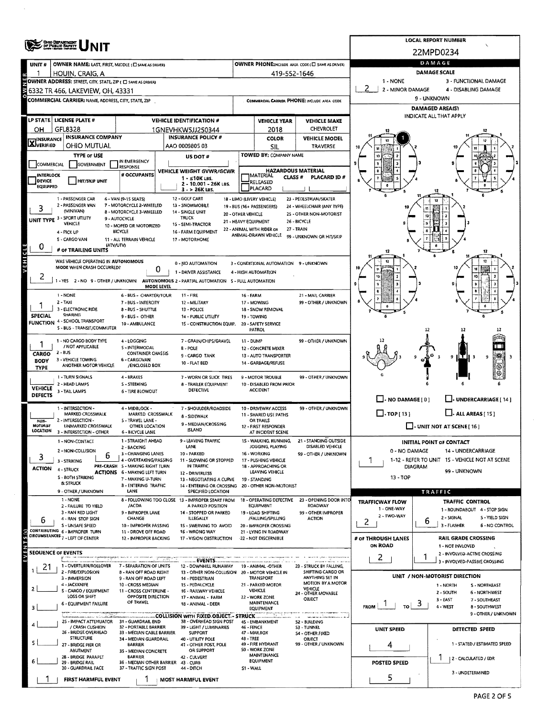|                                  | <b>CHO DEPARTMENT</b><br>OF PUBLIC SAFETY                                                      |                                                                        |                                                                                                                   |                                                 |                                                         |                                                            |                                   | <b>LOCAL REPORT NUMBER</b>                                                |  |  |  |  |  |
|----------------------------------|------------------------------------------------------------------------------------------------|------------------------------------------------------------------------|-------------------------------------------------------------------------------------------------------------------|-------------------------------------------------|---------------------------------------------------------|------------------------------------------------------------|-----------------------------------|---------------------------------------------------------------------------|--|--|--|--|--|
|                                  |                                                                                                |                                                                        |                                                                                                                   |                                                 |                                                         |                                                            |                                   | 22MPD0234                                                                 |  |  |  |  |  |
| UNIT#                            | OWNER NAME: LAST, FIRST, MIDDLE (C) SAME AS DRIVER)                                            |                                                                        |                                                                                                                   | OWNER PHONE2NCLUDE AREA CODE (E SAME AS DRIVER) |                                                         | DAMAGE                                                     |                                   |                                                                           |  |  |  |  |  |
| 1                                | HOUIN, CRAIG, A                                                                                |                                                                        |                                                                                                                   |                                                 | 419-552-1646                                            |                                                            |                                   | DAMAGE SCALE                                                              |  |  |  |  |  |
|                                  | OWNER ADDRESS: STREET, CITY, STATE, ZIP ( C SAME AS DRIVER)                                    |                                                                        |                                                                                                                   | 1 - NONE<br>2 - MINOR DAMAGE                    | 3 - FUNCTIONAL DAMAGE<br>4 - DISABLING DAMAGE           |                                                            |                                   |                                                                           |  |  |  |  |  |
|                                  | 6332 TR 466, LAKEVIEW, OH, 43331<br><b>COMMERCIAL CARRIER: NAME, ADDRESS, CITY, STATE, ZIP</b> |                                                                        |                                                                                                                   |                                                 |                                                         | COMMERCIAL CARRIER PHONE: INCLUDE AREA CODE                |                                   | 9 - UNKNOWN                                                               |  |  |  |  |  |
|                                  |                                                                                                |                                                                        |                                                                                                                   |                                                 |                                                         |                                                            | DAMAGED AREA(S)                   |                                                                           |  |  |  |  |  |
|                                  | LP STATE LICENSE PLATE #                                                                       |                                                                        | <b>VEHICLE IDENTIFICATION #</b>                                                                                   |                                                 | <b>VEHICLE YEAR</b>                                     | <b>VEHICLE MAKE</b>                                        | INDICATE ALL THAT APPLY           |                                                                           |  |  |  |  |  |
| он                               | GFL8328                                                                                        |                                                                        | 1GNEVHKW5JJ250344                                                                                                 |                                                 | 2018                                                    | CHEVROLET                                                  |                                   |                                                                           |  |  |  |  |  |
| <b>X</b> INSURANCE               | <b>INSURANCE COMPANY</b>                                                                       |                                                                        | <b>INSURANCE POLICY #</b>                                                                                         |                                                 | COLOR                                                   | <b>VEHICLE MODEL</b>                                       |                                   |                                                                           |  |  |  |  |  |
|                                  | OHIO MUTUAL                                                                                    |                                                                        | AAO 0009805 03                                                                                                    |                                                 | SIL                                                     | TRAVERSE                                                   |                                   |                                                                           |  |  |  |  |  |
| COMMERCIAL                       | <b>TYPE OF USE</b><br><b>GOVERNMENT</b>                                                        | IN EMERGENCY                                                           | US DOT #                                                                                                          |                                                 | TOWED BY: COMPANY NAME                                  |                                                            |                                   |                                                                           |  |  |  |  |  |
| <b>INTERLOCK</b>                 |                                                                                                | <b>RESPONSE</b><br># OCCUPANTS                                         | VEHICLE WEIGHT GVWR/GCWR                                                                                          |                                                 | <b>HAZARDOUS MATERIAL</b>                               |                                                            |                                   |                                                                           |  |  |  |  |  |
| DEVICE                           | <b>HIT/SKIP UNIT</b>                                                                           |                                                                        | 1 - ≤10K LBS.<br>2 - 10.001 - 26K LBS.                                                                            |                                                 | MATERIAL<br>CLASS #<br>RELEASED                         | <b>PLACARD ID#</b>                                         |                                   |                                                                           |  |  |  |  |  |
| EQUIPPED                         |                                                                                                |                                                                        | $3 - 26K$ LBS.                                                                                                    |                                                 | PLACARD                                                 |                                                            |                                   |                                                                           |  |  |  |  |  |
|                                  | 1 - PASSENGER CAR<br>2 - PASSENGER VAN                                                         | 6 - VAN (9-15 SEATS)<br>7 - MOTORCYCLE 2-WHEELED                       | 12 - GOUF CART<br>13 - SNOWMOBILE                                                                                 |                                                 | 18 - LIMO (LIVERY VEHICLE)<br>19 - BUS (16+ PASSENGERS) | 23 - PEDESTRIAN/SKATER<br>24 - WHEELCHAIR (ANY TYPE)       |                                   |                                                                           |  |  |  |  |  |
|                                  | (MINIVAN)                                                                                      | 8 - MOTORCYCLE 3 WHEELED                                               | 14 - SINGLE UNIT<br><b>TRUCK</b>                                                                                  | 20 - OTHER VEHICLE                              |                                                         | 25 - OTHER NON-MOTORIST                                    |                                   |                                                                           |  |  |  |  |  |
|                                  | UNIT TYPE 3 - SPORT UTILITY<br>VEHICLE                                                         | 9 - AUTOCYCLE<br>10 - MOPED OR MOTORIZED                               | 15 - SEMI-TRACTOR                                                                                                 | 21 - HEAVY EQUIPMENT                            |                                                         | 26 - BICYCLE                                               |                                   |                                                                           |  |  |  |  |  |
|                                  | 4 - PICK UP                                                                                    | BICYCLE                                                                | 16 - FARM EQUIPMENT                                                                                               |                                                 | 22 - ANIMAL WITH RIDER OR<br>ANIMAL-DRAWN VEHICLE       | 27 - TRAIN<br>99 - UNKNOWN OR HIT/SKIP                     |                                   |                                                                           |  |  |  |  |  |
| 0                                | S - CARGO VAN<br>(ATV/UTV)                                                                     | 11 - ALL TERRAIN VEHICLE                                               | 17 - MOTORHOME                                                                                                    |                                                 |                                                         |                                                            |                                   |                                                                           |  |  |  |  |  |
|                                  | # OF TRAILING UNITS                                                                            |                                                                        |                                                                                                                   |                                                 |                                                         |                                                            |                                   |                                                                           |  |  |  |  |  |
| VEHICLE                          | WAS VEHICLE OPERATING IN AUTONOMOUS<br>MODE WHEN CRASH OCCURRED?                               | 0                                                                      | 0 - NO AUTOMATION                                                                                                 |                                                 | 3 - CONDITIONAL AUTOMATION 9 - UNKNOWN                  |                                                            |                                   |                                                                           |  |  |  |  |  |
| 2                                |                                                                                                |                                                                        | 1 - DRIVER ASSISTANCE<br>1 - YES 2 - NO 9 - OTHER / UNKNOWN AUTONOMOUS 2 - PARTIAL AUTOMATION 5 - FULL AUTOMATION |                                                 | 4 - HIGH AUTOMATION                                     |                                                            |                                   |                                                                           |  |  |  |  |  |
|                                  |                                                                                                | MODE LEVEL                                                             |                                                                                                                   |                                                 |                                                         |                                                            |                                   |                                                                           |  |  |  |  |  |
|                                  | 1 - NONE<br>$2 - TAXI$                                                                         | 6 - BUS - CHARTER/TOUR<br>7 - BUS - INTERCITY                          | $11 - FIRE$<br>12 - MILITARY                                                                                      | <b>16 - FARM</b>                                | 17 - MOWING                                             | 21 - MAIL CARRIER<br>99 - OTHER / UNKNOWN                  |                                   |                                                                           |  |  |  |  |  |
|                                  | 3 - ELECTRONIC RIDE                                                                            | 8 - 8US - SHUTTLE                                                      | 13 - POLICE                                                                                                       |                                                 | 18 - SNOW REMOVAL                                       |                                                            |                                   |                                                                           |  |  |  |  |  |
| <b>SPECIAL</b>                   | SHARING<br><b>FUNCTION 4 - SCHOOL TRANSPORT</b>                                                | 9 - BUS - OTHER                                                        | 14 - PUBLIC UTILITY                                                                                               |                                                 | 19 - TOWING<br>20 - SAFETY SERVICE                      |                                                            |                                   |                                                                           |  |  |  |  |  |
|                                  | S - BUS - TRANSIT/COMMUTER                                                                     | 10 - AMBULANCE                                                         | 15 - CONSTRUCTION EQUIP.                                                                                          |                                                 | PATROL                                                  |                                                            |                                   | 12                                                                        |  |  |  |  |  |
|                                  | 1 - NO CARGO BODY TYPE                                                                         | 4 - LOGGING                                                            | 7 - GRAIN/CHIPS/GRAVEL                                                                                            | 11 - DUMP                                       |                                                         | 99 - OTHER / UNKNOWN                                       |                                   |                                                                           |  |  |  |  |  |
| CARGO                            | / NOT APPLICABLE<br>$2 - 8US$                                                                  | S - INTERMODAL<br>CONTAINER CHASSIS                                    | B - POLE                                                                                                          |                                                 | 12 - CONCRETE MIXER                                     |                                                            |                                   |                                                                           |  |  |  |  |  |
| <b>BODY</b>                      | 3 - VEHICLE TOWING<br>ANOTHER MOTOR VEHICLE                                                    | 6 - CARGOVAN<br>/ENCLOSED BOX                                          | 9 - CARGO TANK<br>10 - FLAT BED                                                                                   |                                                 | 13 - AUTO TRANSPORTER<br>14 - GARBAGE/REFUSE            |                                                            |                                   | 9<br>9                                                                    |  |  |  |  |  |
| <b>TYPE</b>                      | 1 - TURN SIGNALS                                                                               | 4 - BRAKES                                                             |                                                                                                                   |                                                 |                                                         | 99 - OTHER / UNKNOWN                                       |                                   |                                                                           |  |  |  |  |  |
|                                  | 2 - HEAD LAMPS                                                                                 | 5 - STEERING                                                           | 7 - WORN OR SLICK TIRES<br>8 - TRAILER EQUIPMENT                                                                  |                                                 | 9 - MOTOR TROUBLE<br>10 - DISABLED FROM PRIOR           |                                                            |                                   |                                                                           |  |  |  |  |  |
| <b>VEHICLE</b><br><b>DEFECTS</b> | 3 - TAIL LAMPS                                                                                 | 6 - TIRE BLOWOUT                                                       | DEFECTIVE                                                                                                         |                                                 | <b>ACCIDENT</b>                                         |                                                            |                                   |                                                                           |  |  |  |  |  |
|                                  | 1 - INTERSECTION -                                                                             | 4 - MIDBLOCK -                                                         | 7 - SHOULDER/ROAD51DE                                                                                             |                                                 | 10 - DRIVEWAY ACCESS                                    | 99 - OTHER / UNKNOWN                                       | $\Box$ - NO DAMAGE [ 0 ]          | UNDERCARRIAGE [ 14 ]                                                      |  |  |  |  |  |
|                                  | MARKED CROSSWALK<br>2 - INTERSECTION -                                                         | MARKED CROSSWALK<br>5 - TRAVEL LANE -                                  | 8 - SIDEWALK                                                                                                      |                                                 | 11 - SHARED USE PATHS                                   |                                                            | $\Box$ -TOP[13]                   | $\Box$ . ALL AREAS [15]                                                   |  |  |  |  |  |
| NON-<br>MOTORIST<br>LOCATION     | UNMARKED CROSSWALK                                                                             | OTHER LOCATION                                                         | 9 - MEDIAN/CROSSING<br><b>ISLAND</b>                                                                              |                                                 | OR TRAILS<br>12 - FIRST RESPONDER                       |                                                            | $\Box$ - UNIT NOT AT SCENE [ 16 ] |                                                                           |  |  |  |  |  |
|                                  | 3 - INTERSECTION - OTHER<br>1 - NON-CONTACT                                                    | <b>6 BICYCLE LANE</b><br>1 - STRAIGHT AHEAD                            | <b>LEAVING TRAFFIC</b>                                                                                            |                                                 | AT INCIDENT SCENE<br>15 - WALKING, RUNNING,             | - STANDING OUTSIDE                                         |                                   |                                                                           |  |  |  |  |  |
|                                  | 2 - NON-COLLISION                                                                              | 2 - BACKING                                                            | LANE                                                                                                              |                                                 | JOGGING, PLAYING                                        | DISABLED VEHICLE                                           | 0 - NO DAMAGE                     | <b>INITIAL POINT OF CONTACT</b><br>14 - UNDERCARRIAGE                     |  |  |  |  |  |
| 3                                | b<br>3 - STRIKING                                                                              | 3 - CHANGING LANES<br>4 - OVERTAKING/PASSING                           | 10 - PARKED<br>11 - SLOWING OR STOPPED                                                                            |                                                 | 16 - WORKING<br>17 - PUSHING VEHICLE                    | 99 - OTHER / UNKNOWN                                       |                                   | 1-12 - REFER TO UNIT 15 - VEHICLE NOT AT SCENE                            |  |  |  |  |  |
| <b>ACTION</b>                    | 4 - STRUCK                                                                                     | PRE-CRASH 5 - MAKING RIGHT TURN<br><b>ACTIONS 6 - MAKING LEFT TURN</b> | IN TRAFFIC<br>12 - DRIVERLESS                                                                                     |                                                 | 18 - APPROACHING OR<br>LEAVING VEHICLE                  |                                                            |                                   | <b>DIAGRAM</b><br>99 - UNKNOWN                                            |  |  |  |  |  |
|                                  | S - BOTH STRIKING<br><b>&amp; STRUCK</b>                                                       | 7 - MAKING U-TURN                                                      | 13 - NEGOTIATING A CURVE                                                                                          |                                                 | 19 - STANDING                                           |                                                            | 13 - TOP                          |                                                                           |  |  |  |  |  |
|                                  | 9 - OTHER / UNKNOWN                                                                            | <b>8 - ENTERING TRAFFIC</b><br>LANE                                    | 14 - ENTERING OR CROSSING 20 - OTHER NON-MOTORIST<br>SPECIFIED LOCATION                                           |                                                 |                                                         |                                                            |                                   | TRAFFIC                                                                   |  |  |  |  |  |
|                                  | 1 - NONE<br>2 - FAILURE TO YIELD                                                               | /ACDA                                                                  | 8 - FOLLOWING TOO CLOSE 13 - IMPROPER START FROM<br>A PARKED POSITION                                             |                                                 | <b>EQUIPMENT</b>                                        | 18 - OPERATING DEFECTIVE 23 - OPENING DOOR INTO<br>ROADWAY | <b>TRAFFICWAY FLOW</b>            | TRAFFIC CONTROL                                                           |  |  |  |  |  |
|                                  | 3 - RAN RED LIGHT                                                                              | 9 - IMPROPER LANE                                                      | 14 - STOPPED OR PARKED                                                                                            |                                                 | 19 - LOAD SHIFTING                                      | 99 - OTHER IMPROPER                                        | 1 - ONE-WAY<br>2 - TWO-WAY        | 1 - ROUNDABOUT 4 - STOP SIGN                                              |  |  |  |  |  |
| ь                                | 4 - RAN STOP SIGN<br>S - UNSAFE SPEED                                                          | CHANGE<br>10 - IMPROPER PASSING                                        | ILLEGALLY<br>15 - SWERVING TO AVOID                                                                               |                                                 | /FALLING/SPILLING<br>20 - IMPROPER CROSSING             | <b>ACTION</b>                                              | 2                                 | 2 - SIGNAL<br>5 - YIELD SIGN<br>6<br>3 - FLASHER<br><b>6 - NO CONTROL</b> |  |  |  |  |  |
| (s) 5                            | CONTRIBUTING 6 - IMPROPER TURN<br>CIRCUMSTANCES 7 - LEFT OF CENTER                             | 11 - DROVE OFF ROAD                                                    | 16 - WRONG WAY                                                                                                    |                                                 | 21 - LYING IN ROADWAY                                   |                                                            |                                   |                                                                           |  |  |  |  |  |
|                                  |                                                                                                | 12 - IMPROPER BACKING                                                  | 17 - VISION OBSTRUCTION                                                                                           |                                                 | -22 - NOT DISCERNIBLE                                   |                                                            | # OF THROUGH LANES<br>ON ROAD     | <b>RAIL GRADE CROSSING</b><br>1 - NOT INVLOVED                            |  |  |  |  |  |
|                                  | <b>SEOUENCE OF EVENTS</b>                                                                      |                                                                        |                                                                                                                   |                                                 |                                                         |                                                            | $\overline{2}$                    | 2 - INVOLVED-ACTIVE CROSSING                                              |  |  |  |  |  |
| 21                               | 1 - OVERTURN/ROLLOVER                                                                          | 7 - SEPARATION OF UNITS                                                | <b>EVENTS.</b><br>12 - DOWNHILL RUNAWAY                                                                           |                                                 | 19 - ANIMAL OTHER                                       | 23 - STRUCK BY FALLING,                                    |                                   | 3 - INVOLVED-PASSIVE CROSSING                                             |  |  |  |  |  |
|                                  | 2 - FIRE/EXPLOSION<br>3 - IMMERSION                                                            | 8 - RAN OFF ROAD RIGHT<br>9 - RAN OFF ROAD LEFT                        | 13 - OTHER NON-COLLISION 20 - MOTOR VEHICLE IN<br>14 - PEDESTRIAN                                                 |                                                 | <b>TRANSPORT</b>                                        | SHIFTING CARGO OR<br>ANYTHING SET IN                       |                                   | UNIT / NON-MOTORIST DIRECTION                                             |  |  |  |  |  |
|                                  | 4 - JACKKNIFE<br>S - CARGO / EQUIPMENT                                                         | 10 - CROSS MEDIAN<br>11 - CROSS CENTERLINE -                           | 15 - PEDALCYCLE<br>16 - RAILWAY VEHICLE                                                                           |                                                 | 21 - PARKED MOTOR<br><b>VEHICLE</b>                     | MOTION BY A MOTOR<br><b>VEHICLE</b>                        |                                   | 1 - NORTH<br>S-NORTHEAST                                                  |  |  |  |  |  |
|                                  | LOSS OR SHIFT                                                                                  | <b>OPPOSITE DIRECTION</b>                                              | 17 - ANIMAL - FARM                                                                                                |                                                 | 22 - WORK ZONE                                          | 24 - OTHER MOVABLE<br>OBJECT                               |                                   | 2 - SOUTH<br>6 - NORTHWEST<br>$3 - EAST$<br>7 - SOUTHEAST                 |  |  |  |  |  |
|                                  | 6 - EQUIPMENT FAILURE                                                                          |                                                                        | OF TRAVEL<br>18 - ANIMAL - DEER                                                                                   |                                                 | MAINTENANCE<br>EQUIPMENT                                |                                                            | <b>FROM</b><br>TO I               | ು<br>4 - WEST<br><b>B-SOUTHWEST</b>                                       |  |  |  |  |  |
|                                  | 25 - IMPACT ATTENUATOR                                                                         | 31 - GUARDRAIL END                                                     | <b>COLLISION WITH FIXED OBJECT - STRUCK</b><br>38 - OVERHEAD SIGN POST                                            |                                                 | 45 - EMBANKMENT                                         | 52 - BUILDING                                              |                                   | 9 - OTHER / UNKNOWN                                                       |  |  |  |  |  |
|                                  | / CRASH CUSHIDN<br>26 - BRIDGE OVERHEAD                                                        | 32 - PORTABLE BARRIER<br>33 - MÉDIAN CABLE BARRIER                     | 39 - LIGHT / LUMINARIES<br><b>SUPPORT</b>                                                                         | 46 - FENCE                                      | 47 - MAILBOX                                            | <b>S3 - TUNNEL</b><br>S4 - OTHER FIXED                     | <b>UNIT SPEED</b>                 | DETECTED SPEED                                                            |  |  |  |  |  |
|                                  | <b>STRUCTURE</b>                                                                               | 34 - MEDIAN GUARDRAIL                                                  | 40 - UTILITY POLE                                                                                                 | 48 - TREE                                       | 49 - FIRE HYDRANT                                       | OBJECT<br>99 - OTHER / UNKNOWN                             |                                   | 1 - STATED / ESTIMATED SPEED                                              |  |  |  |  |  |
|                                  | 27 - BRIDGE PIER OR<br>ABUTMENT                                                                | <b>BARRIER</b><br>35 - MEDIAN CONCRETE                                 | 41 - OTHER POST, POLE<br>OR SUPPORT                                                                               |                                                 | S0 - WORK ZONE                                          |                                                            | 4                                 |                                                                           |  |  |  |  |  |
|                                  | 2B - BRIDGE PARAPET<br>29 - BRIDGE RAIL                                                        | <b>BARRIER</b><br>36 - MEDIAN OTHER BARRIER                            | 42 - CULVERT<br>43 - CURB                                                                                         |                                                 | MAINTENANCE<br><b>EQUIPMENT</b>                         |                                                            | <b>POSTED SPEED</b>               | 2 - CALCULATED / EDR                                                      |  |  |  |  |  |
|                                  | 30 - GUARDRAIL FACE                                                                            | 37 - TRAFFIC SIGN POST                                                 | 44 - DITCH                                                                                                        | S1 - WALL                                       |                                                         |                                                            |                                   | 3 - UNDETERMINED                                                          |  |  |  |  |  |
|                                  | FIRST HARMFUL EVENT                                                                            |                                                                        | MOST HARMFUL EVENT                                                                                                |                                                 |                                                         |                                                            | 5.                                |                                                                           |  |  |  |  |  |

 $\mathcal{L}_{\mathcal{L}}$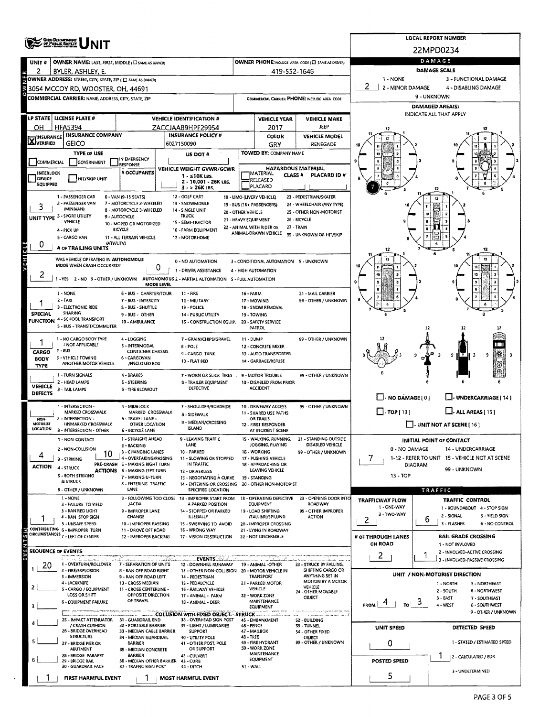|                               | <b>ONG DEPARTMENT</b><br>OF PUBLIC BAPETY                                          |                                                           |                                                                                          | <b>LOCAL REPORT NUMBER</b>                  |                                                           |                                                      |                               |                                                                         |  |  |  |  |
|-------------------------------|------------------------------------------------------------------------------------|-----------------------------------------------------------|------------------------------------------------------------------------------------------|---------------------------------------------|-----------------------------------------------------------|------------------------------------------------------|-------------------------------|-------------------------------------------------------------------------|--|--|--|--|
|                               |                                                                                    |                                                           |                                                                                          |                                             |                                                           |                                                      |                               | 22MPD0234                                                               |  |  |  |  |
| UNIT <sub>#</sub>             | OWNER NAME: LAST, FIRST, MIDDLE (E) SAME AS DRIVER)                                |                                                           |                                                                                          |                                             |                                                           | OWNER PHONE:INCLUDE AREA CODE (E) SAME AS DRIVER!    |                               | DAMAGE                                                                  |  |  |  |  |
| 2                             | BYLER, ASHLEY, E.<br>OWNER ADDRESS: STREET, CITY, STATE, ZIP ( C) SAME AS DRIVERY  |                                                           | 419-552-1646                                                                             | 1 - NONE                                    | DAMAGE SCALE<br>3 - FUNCTIONAL DAMAGE                     |                                                      |                               |                                                                         |  |  |  |  |
|                               | 2<br>2 - MINOR DAMAGE<br>4 - DISABLING DAMAGE<br>3054 MCCOY RD, WOOSTER, OH, 44691 |                                                           |                                                                                          |                                             |                                                           |                                                      |                               |                                                                         |  |  |  |  |
|                               | COMMERCIAL CARRIER: NAME, ADDRESS, CITY, STATE, ZIP                                |                                                           |                                                                                          |                                             |                                                           | COMMERCIAL CARRIER PHONE: INCLUDE AREA CODE          | 9 - UNKNOWN                   |                                                                         |  |  |  |  |
|                               |                                                                                    |                                                           |                                                                                          |                                             |                                                           |                                                      |                               | <b>DAMAGED AREA(S)</b>                                                  |  |  |  |  |
|                               | LP STATE   LICENSE PLATE #                                                         |                                                           | <b>VEHICLE IDENTIFICATION #</b>                                                          |                                             | <b>VEHICLE YEAR</b>                                       | <b>VEHICLE MAKE</b>                                  |                               | INDICATE ALL THAT APPLY                                                 |  |  |  |  |
| он                            | <b>HFA5394</b><br><b>INSURANCE COMPANY</b>                                         |                                                           | ZACCJAAB9HPF29954<br><b>INSURANCE POLICY #</b>                                           |                                             | 2017<br>COLOR                                             | <b>JEEP</b><br><b>VEHICLE MODEL</b>                  |                               |                                                                         |  |  |  |  |
| <b>X</b> <sup>INSURANCE</sup> | GEICO                                                                              |                                                           | 6027150090                                                                               |                                             | GRY                                                       | RENEGADE                                             |                               |                                                                         |  |  |  |  |
|                               | <b>TYPE OF USE</b>                                                                 | IN EMERGENCY                                              | US DOT #                                                                                 |                                             | TOWED BY: COMPANY NAME                                    |                                                      |                               |                                                                         |  |  |  |  |
| COMMERCIAL                    | GOVERNMENT                                                                         | <b>RESPONSE</b>                                           | VEHICLE WEIGHT GVWR/GCWR                                                                 |                                             | <b>HAZARDOUS MATERIAL</b>                                 |                                                      |                               |                                                                         |  |  |  |  |
| <b>INTERLOCK</b><br>DEVICE    | HIT/SKIP UNIT                                                                      | # OCCUPANTS                                               | $1 - 510K$ LBS.<br>2 - 10.001 - 26K LBS.                                                 |                                             | <b>IMATERIAL</b><br>CLASS <sup>#</sup><br><b>RELEASED</b> | PLACARD ID#                                          |                               |                                                                         |  |  |  |  |
| <b>EQUIPPED</b>               |                                                                                    |                                                           | $3 - 26K$ LBS.                                                                           |                                             | PLACARD                                                   |                                                      |                               |                                                                         |  |  |  |  |
|                               | 1 - PASSENGER CAR<br>2 - PASSENGER VAN                                             | 6 - VAN (9-15 SEATS)<br>7 - MOTORCYCLE 2-WHEELED          | 12 - GOLF CART<br>13 - SNOWMOBILE                                                        |                                             | 18 - LIMO (LIVERY VEHICLE)<br>19 - BUS (16+ PASSENGERS)   | 23 - PEDESTRIAN/SKATER<br>24 - WHEELCHAIR (ANY TYPE) |                               |                                                                         |  |  |  |  |
|                               | (MINIVAN)<br>UNIT TYPE 3 - SPORT UTILITY                                           | 8 - MOTORCYCLE 3-WHEELED<br>9 - AUTOCYCLE                 | 14 - SINGLE UNIT<br>TRUCK                                                                | 20 - OTHER VEHICLE                          |                                                           | 25 - OTHER NON-MOTORIST                              |                               | 10                                                                      |  |  |  |  |
|                               | VEHICLE                                                                            | 10 - MOPED OR MOTORIZED                                   | 15 - SEMI-TRACTOR                                                                        | 21 - HEAVY EQUIPMENT                        | 22 - ANIMAL WITH RIDER OR                                 | 26 - BICYCLE<br>27 - TRAIN                           |                               | ø                                                                       |  |  |  |  |
|                               | 4 - PICK UP<br>5 - CARGO VAN                                                       | <b>BICYCLE</b><br>11 - ALL TERRAIN VEHICLE                | 16 - FARM EQUIPMENT<br>17 - MOTORHOME                                                    |                                             | ANIMAL-DRAWN VEHICLE                                      | 99 - UNKNOWN OR HIT/SKIP                             |                               |                                                                         |  |  |  |  |
| 0                             | (ATV/UTV)<br># OF TRAILING UNITS                                                   |                                                           |                                                                                          |                                             |                                                           |                                                      |                               | 12                                                                      |  |  |  |  |
| VEHICLE                       | WAS VEHICLE OPERATING IN AUTONOMOUS                                                |                                                           | 0 - NO AUTOMATION                                                                        |                                             | 3 - CONDITIONAL AUTOMATION 9 - UNKNOWN                    |                                                      |                               | 12                                                                      |  |  |  |  |
|                               | MODE WHEN CRASH OCCURRED?                                                          | 0                                                         | 1 - DRIVER ASSISTANCE                                                                    |                                             | 4 - HIGH AUTOMATION                                       |                                                      |                               |                                                                         |  |  |  |  |
| 2                             |                                                                                    |                                                           | 1 - YES 2 - NO 9 - OTHER / UNKNOWN AUTONOMOUS 2 - PARTIAL AUTOMATION S - FULL AUTOMATION |                                             |                                                           |                                                      |                               |                                                                         |  |  |  |  |
|                               | 1 - NONE                                                                           | <b>MODE LEVEL</b><br>6 - BUS - CHARTER/TOUR               | 11 - FIRE                                                                                | 16 - FARM                                   |                                                           | 21 - MAIL CARRIER                                    |                               |                                                                         |  |  |  |  |
|                               | $2 - TAXI$                                                                         | 7 - BUS - INTERCITY                                       | 12 - MILITARY                                                                            |                                             | 17 - MOWING                                               | 99 - OTHER / UNKNOWN                                 |                               |                                                                         |  |  |  |  |
| SPECIAL                       | 3 - ELECTRONIC RIDE<br><b>SHARING</b>                                              | 8 - BUS - SHUTTLE<br>9 - BUS - OTHER                      | 13 - POLICE<br>14 - PUBLIC UTILITY                                                       |                                             | 18 - SNOW REMOVAL<br>19 - TOWING                          |                                                      |                               |                                                                         |  |  |  |  |
|                               | <b>FUNCTION 4 - SCHOOL TRANSPORT</b><br>5 - BUS - TRANSIT/COMMUTER                 | 10 - AMBULANCE                                            | 15 - CONSTRUCTION EQUIP.                                                                 |                                             | 20 - SAFETY SERVICE<br>PATROL                             |                                                      |                               |                                                                         |  |  |  |  |
|                               | 1 - NO CARGO BODY TYPE                                                             | 4 - LOGGING                                               | 7 - GRAIN/CHIPS/GRAVEL                                                                   | 11 - DUMP                                   |                                                           | 99 - OTHER / UNKNOWN                                 |                               |                                                                         |  |  |  |  |
|                               | / NOT APPLICABLE<br>2 - 8US                                                        | S - INTERMODAL<br><b>CONTAINER CHASSIS</b>                | 8 - POLE                                                                                 |                                             | 12 - CONCRETE MIXER                                       |                                                      |                               |                                                                         |  |  |  |  |
| <b>CARGO</b><br><b>BODY</b>   | 3 - VEHICLE TOWING<br>ANOTHER MOTOR VEHICLE                                        | 6 - CARGOVAN<br>/ENCLOSED BOX                             | 9 - CARGO TANK<br>10 - FLAT BED                                                          |                                             | 13 - AUTO TRANSPORTER<br>14 - GARBAGE/REFUSE              |                                                      |                               | 9<br>9                                                                  |  |  |  |  |
| TYPE                          | 1 - TURN SIGNALS                                                                   | 4 - BRAKES                                                |                                                                                          |                                             |                                                           |                                                      |                               |                                                                         |  |  |  |  |
| <b>VEHICLE</b>                | 2 - HEAD LAMPS                                                                     | S-STEERING                                                | 7 - WORN OR SLICK TIRES<br>8 - TRAILER EQUIPMENT                                         |                                             | 9 - MOTOR TROUBLE<br>10 - DISABLED FROM PRIOR             | 99 - OTHER / UNKNOWN                                 |                               |                                                                         |  |  |  |  |
| <b>DEFECTS</b>                | 3 - TAIL LAMPS                                                                     | <b>6 - TIRE BLOWOUT</b>                                   | DEFECTIVE                                                                                |                                             | <b>ACCIDENT</b>                                           |                                                      | $\Box$ - NO DAMAGE [ 0 ]      | J- UNDERCARRIAGE [ 14 ]                                                 |  |  |  |  |
|                               | 1 - INTERSECTION -                                                                 | 4 - MIDBLOCK -                                            | 7 - SHOULDER/ROADSIDE                                                                    |                                             | 10 - DRIVEWAY ACCESS                                      | 99 - OTHER / UNKNOWN                                 |                               |                                                                         |  |  |  |  |
| NON-                          | MARKED CROSSWALK<br>2 - INTERSECTION -                                             | MARKED CROSSWALK<br>5 - TRAVEL LANE -                     | 8 - SIDEWALK                                                                             |                                             | 11 - SHARED USE PATHS<br>OR TRAILS                        |                                                      | $\Box$ -TOP[13]               | $L$ - ALL AREAS (15)                                                    |  |  |  |  |
| MOTORIST<br>LOCATION          | UNMARKED CROSSWALK<br>3 - INTERSECTION - OTHER                                     | OTHER LOCATION<br><b>6 - BICYCLE LANE</b>                 | 9 - MEDIAN/CROSSING<br>ISLAND                                                            |                                             | 12 - FIRST RESPONDER<br>AT INCIDENT SCENE                 |                                                      |                               | $\Box$ - UNIT NOT AT SCENE [ 16 ]                                       |  |  |  |  |
|                               | 1 - NON-CONTACT                                                                    | 1 - STRAIGHT AHEAD                                        | · LEAVING TRAFFIC                                                                        |                                             | 15 - WALKING, RUNNING,                                    | -21<br>- STANDING OUTSIDE                            |                               | <b>INITIAL POINT OF CONTACT</b>                                         |  |  |  |  |
| 4                             | 2 - NON-COLLISION<br>10                                                            | 2 - BACKING<br>3 - CHANGING LANES                         | LANE<br>10 - PARKED                                                                      |                                             | JOGGING, PLAYING<br>16 - WORKING                          | DISABLED VEHICLE<br>99 - OTHER / UNKNOWN             | 0 - NO DAMAGE                 | 14 - UNDERCARRIAGE                                                      |  |  |  |  |
| ACTION                        | 3 - STRIKING                                                                       | 4 - OVERTAKING/PASSING<br>PRE-CRASH 5 - MAKING RIGHT TURN | 11 - SLOWING OR STOPPED<br>IN TRAFFIC                                                    | 17 - PUSHING VEHICLE<br>18 - APPROACHING OR |                                                           |                                                      | $\prime$<br>DIAGRAM           | 1-12 - REFER TO UNIT 15 - VEHICLE NOT AT SCENE                          |  |  |  |  |
|                               | 4 - STRUCK<br><b>S - BOTH STRIKING</b>                                             | <b>ACTIONS 6 - MAKING LEFT TURN</b><br>7 - MAKING U-TURN  | 12 - DRIVERLESS<br>13 - NEGOTIATING A CURVE                                              |                                             | LEAVING VEHICLE<br>19 - STANDING                          |                                                      | 13 - TOP                      | 99 - UNKNOWN                                                            |  |  |  |  |
|                               | & STRUCK<br>9 - OTHER / UNKNOWN                                                    | 8 - ENTERING TRAFFIC<br>LANE                              | 14 - ENTERING OR CROSSING<br>SPECIFIED LOCATION                                          |                                             | 20 - OTHER NON-MOTORIST                                   |                                                      |                               | TRAFFIC                                                                 |  |  |  |  |
|                               | 1 - NONE                                                                           |                                                           | B - FOLLOWING TOO CLOSE 13 - IMPROPER START FROM                                         |                                             |                                                           | 18 - OPERATING DEFECTIVE 23 - OPENING DOOR INTO      | <b>TRAFFICWAY FLOW</b>        | <b>TRAFFIC CONTROL</b>                                                  |  |  |  |  |
|                               | 2 - FAILURE TO YIELD<br>3 - RAN RED LIGHT                                          | /ACDA<br>9 - IMPROPER LANE                                | A PARKED POSITION<br>14 - STOPPED OR PARKED                                              |                                             | <b>EQUIPMENT</b><br>19 - LOAD SHIFTING                    | <b>ROADWAY</b><br>99 - OTHER IMPROPER                | 1 - ONE-WAY<br>2 - TWO-WAY    | 1 - ROUNDABOUT 4 - STOP SIGN                                            |  |  |  |  |
|                               | 4 - RAN STOP SIGN<br><b>S-UNSAFE SPEED</b>                                         | CHANGE<br>10 - IMPROPER PASSING                           | ILLEGALLY<br>15 - SWERVING TO AVOID                                                      |                                             | /FALLING/SPILLING<br>20 - IMPROPER CROSSING               | <b>ACTION</b>                                        | 2                             | 2 - SIGNAL<br><b>S-YIELD SIGN</b><br>6<br>3 - FLASHER<br>6 - NO CONTROL |  |  |  |  |
|                               | CONTRIBUTING 6 - IMPROPER TURN<br>CIRCUMSTANCES 7 - LEFT OF CENTER                 | 11 - DROVE OFF ROAD                                       | 16 - WRONG WAY                                                                           |                                             | 21 - LYING IN ROADWAY                                     |                                                      |                               | RAIL GRADE CROSSING                                                     |  |  |  |  |
| Ν                             |                                                                                    | 12 - IMPROPER BACKING                                     | 17 - VISION OBSTRUCTION                                                                  |                                             | 22 - NOT DISCERNIBLE                                      |                                                      | # OF THROUGH LANES<br>ON ROAD | 1 - NOT INVLOVED                                                        |  |  |  |  |
| E                             | <b>SEQUENCE OF EVENTS</b>                                                          |                                                           | EVENTS                                                                                   |                                             |                                                           |                                                      | $\mathbf{z}$                  | 2 - INVOLVED-ACTIVE CROSSING                                            |  |  |  |  |
| 20                            | 1 - OVERTURN/ROLLOVER<br>2 - FIRE/EXPLOSION                                        | 7 - SEPARATION OF UNITS<br><b>B - RAN OFF ROAD RIGHT</b>  | 12 - DOWNHILL RUNAWAY<br>13 - OTHER NON-COLLISION                                        |                                             | 19 - ANIMAL -OTHER<br>20 - MOTOR VEHICLE IN               | 23 - STRUCK BY FALLING,<br>SHIFTING CARGO OR         |                               | 3 - INVOLVED-PASSIVE CROSSING                                           |  |  |  |  |
|                               | 3 - IMMERSION                                                                      | 9 - RAN OFF ROAD LEFT                                     | 14 - PEDESTRIAN                                                                          |                                             | <b>TRANSPORT</b>                                          | ANYTHING SET IN<br>MOTION BY A MOTOR                 |                               | UNIT / NON-MOTORIST DIRECTION                                           |  |  |  |  |
|                               | 4 - JACKKNIFE<br>S - CARGO / EQUIPMENT                                             | 10 - CROSS MEDIAN<br>11 - CROSS CENTERLINE -              | 1S - PEDALCYCLE<br>16 - RAILWAY VEHICLE                                                  |                                             | 21 - PARKED MOTOR<br>VEHICLE                              | VEHICLE<br>24 - OTHER MOVABLE                        |                               | 1 - NORTH<br>5 - NORTHEAST<br>2 - SOUTH<br><b>6 - NORTHWEST</b>         |  |  |  |  |
|                               | LOSS OR SHIFT<br>6 - EQUIPMENT FAILURE                                             | OPPOSITE DIRECTION<br>OF TRAVEL                           | 17 - ANIMAL - FARM<br>18 - ANIMAL - DEER                                                 |                                             | 22 - WORK ZONE<br>MAINTENANCE                             | OBJECT                                               | ್ರ<br><b>FROM</b><br>TO.      | 3 - EAST<br>7 - SOUTHEAST<br>4 - WEST<br>8 - SOUTHWEST                  |  |  |  |  |
|                               |                                                                                    |                                                           |                                                                                          |                                             | <b>EQUIPMENT</b>                                          |                                                      |                               | 9 - OTHER / UNKNOWN                                                     |  |  |  |  |
|                               | 2S - IMPACT ATTENUATOR 31 - GUARDRAIL END<br>/ CRASH CUSHION                       | 32 - PORTABLE BARRIER                                     | 38 - OVERHEAD SIGN POST<br>39 - LIGHT / LUMINARIES                                       | 46 - FENCE                                  | 45 EMBANKMENT                                             | S2 - BUILDING<br>S3 - TUNNEL                         | UNIT SPEED                    | DETECTED SPEED                                                          |  |  |  |  |
|                               | 26 - BRIDGE OVERHEAD<br><b>STRUCTURE</b>                                           | 33 - MEDIAN CABLE BARRIER<br>34 - MEDIAN GUARDRAIL        | <b>SUPPORT</b><br>40 - UTILITY POLE                                                      | 48 - TREE                                   | 47 - MAILBOX                                              | 54 - OTHER FIXED<br>OBJECT                           |                               |                                                                         |  |  |  |  |
|                               | 27 - BRIDGE PIER OR<br>ABUTMENT                                                    | BARRIER<br>35 - MEDIAN CONCRETE                           | 41 - OTHER POST, POLE<br>OR SUPPORT                                                      |                                             | 49 - FIRE HYDRANT<br>50 - WORK ZONE                       | 99 - OTHER / UNKNOWN                                 | 0                             | 1 - STATED / ESTIMATED SPEED                                            |  |  |  |  |
|                               | 28 - BRIDGE PARAPET<br>29 - BRIDGE RAIL                                            | <b>BARRIER</b><br>36 - MEDIAN OTHER BARRIER               | 42 - CULVERT<br>43 - CURB                                                                |                                             | MAINTENANCE<br><b>EQUIPMENT</b>                           |                                                      | <b>POSTED SPEED</b>           | 2 - CALCULATED / EDR                                                    |  |  |  |  |
|                               | 30 - GUARDRAIL FACE                                                                | 37 - TRAFFIC 5IGN POST                                    | 44 - DITCH                                                                               | 51 - WALL                                   |                                                           |                                                      |                               | 3 - UNDETERMINED                                                        |  |  |  |  |
|                               | <b>FIRST HARMFUL EVENT</b>                                                         |                                                           | <b>MOST HARMFUL EVENT</b>                                                                |                                             |                                                           |                                                      | 5                             |                                                                         |  |  |  |  |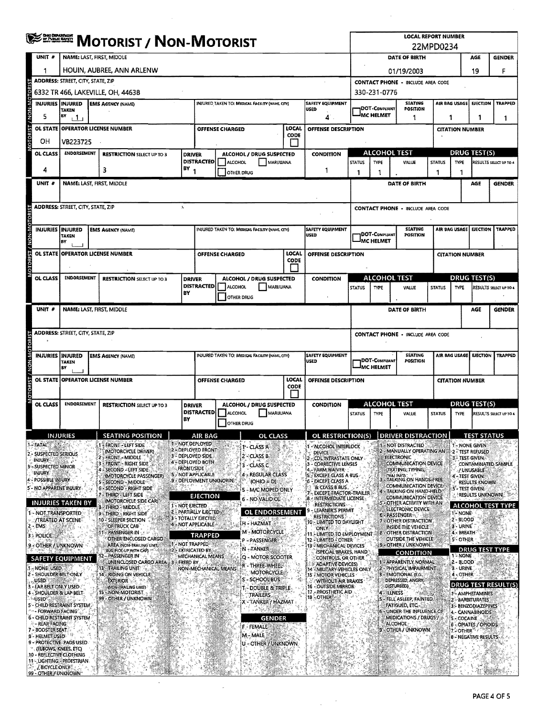| <b>DERETH MOTORIST / NON-MOTORIST</b> |                                                    |                                          |                                                                                                     |                                                                                   |                                                   |                                                  |                                                 |                            | <b>LOCAL REPORT NUMBER</b><br>22MPD0234                                        |                                                                    |                                                    |                                                                                  |                |                        |                                         |                          |
|---------------------------------------|----------------------------------------------------|------------------------------------------|-----------------------------------------------------------------------------------------------------|-----------------------------------------------------------------------------------|---------------------------------------------------|--------------------------------------------------|-------------------------------------------------|----------------------------|--------------------------------------------------------------------------------|--------------------------------------------------------------------|----------------------------------------------------|----------------------------------------------------------------------------------|----------------|------------------------|-----------------------------------------|--------------------------|
|                                       | UNIT #                                             |                                          | NAME: LAST, FIRST, MIDDLE                                                                           |                                                                                   |                                                   |                                                  |                                                 |                            |                                                                                | DATE OF BIRTH                                                      |                                                    |                                                                                  |                |                        | AGE                                     | <b>GENDER</b>            |
|                                       | 1                                                  |                                          | HOUIN, AUBREE, ANN ARLENW                                                                           |                                                                                   |                                                   |                                                  |                                                 |                            |                                                                                | 01/19/2003                                                         |                                                    |                                                                                  |                |                        | 19                                      | F                        |
|                                       | ADDRESS: STREET, CITY, STATE, ZIP                  |                                          |                                                                                                     |                                                                                   |                                                   |                                                  |                                                 |                            |                                                                                |                                                                    | <b>CONTACT PHONE - INCLUDE AREA CODE</b>           |                                                                                  |                |                        |                                         |                          |
|                                       |                                                    | INJURIES INJURED                         | 6332 TR 466, LAKEVILLE, OH, 44638                                                                   |                                                                                   |                                                   |                                                  |                                                 |                            |                                                                                | 330-231-0776<br>AIR BAG USAGE<br><b>EJECTION</b><br><b>SEATING</b> |                                                    |                                                                                  |                |                        |                                         |                          |
| <b>NON-MO</b>                         | 5                                                  | TAKEN<br>BY                              | <b>EMS AGENCY (NAME)</b>                                                                            | <b>SAFETY EQUIPMENT</b><br>INJURED TAKEN TO: MEDICAL FACILITY (NAME CITY)<br>USED |                                                   |                                                  |                                                 | DOT-COMPLIANT<br>MC HELMET | POSITION                                                                       |                                                                    |                                                    |                                                                                  | <b>TRAPPED</b> |                        |                                         |                          |
|                                       | $\mathbf{1}$<br>OL STATE   OPERATOR LICENSE NUMBER |                                          |                                                                                                     |                                                                                   |                                                   | LOCAL                                            |                                                 |                            | 4<br>OFFENSE DESCRIPTION                                                       |                                                                    |                                                    | 1                                                                                | 1              | <b>CITATION NUMBER</b> | 1                                       | 1                        |
| <b>DTOREST</b>                        | OН                                                 | <b>VB223725</b>                          |                                                                                                     |                                                                                   | <b>OFFENSE CHARGED</b><br>CODE                    |                                                  |                                                 |                            |                                                                                |                                                                    |                                                    |                                                                                  |                |                        |                                         |                          |
|                                       | OL CLASS                                           | ENDORSEMENT                              | <b>RESTRICTION SELECT UP TO 3</b>                                                                   | <b>DRIVER</b>                                                                     |                                                   |                                                  | ALCOHOL / DRUG SUSPECTED                        | P.                         | <b>CONDITION</b>                                                               |                                                                    | <b>ALCOHOL TEST</b>                                |                                                                                  |                |                        | <b>DRUG TEST(S)</b>                     |                          |
|                                       |                                                    |                                          |                                                                                                     | $18Y_1$                                                                           |                                                   | <b>DISTRACTED</b><br>ALCOHOL<br><b>MARIJUANA</b> |                                                 |                            | <b>STATUS</b>                                                                  | <b>TYPE</b>                                                        | VALUE                                              | <b>STATUS</b>                                                                    | <b>TYPE</b>    |                        | RESULTS SELECT UP TO 4                  |                          |
|                                       | 4                                                  |                                          | 3                                                                                                   |                                                                                   |                                                   | OTHER DRUG                                       |                                                 |                            | 1                                                                              | -1                                                                 | 1                                                  |                                                                                  | 1              | 1                      |                                         |                          |
|                                       | UNIT #                                             |                                          | NAME: LAST, FIRST, MIDDLE                                                                           |                                                                                   |                                                   |                                                  |                                                 |                            |                                                                                |                                                                    |                                                    | DATE OF BIRTH                                                                    |                |                        | AGE                                     | <b>GENDER</b>            |
|                                       |                                                    | <b>ADDRESS: STREET, CITY, STATE, ZIP</b> |                                                                                                     | $\lambda$                                                                         |                                                   |                                                  |                                                 |                            |                                                                                |                                                                    | <b>CONTACT PHONE - INCLUDE AREA CODE</b>           |                                                                                  |                |                        |                                         |                          |
|                                       |                                                    |                                          |                                                                                                     |                                                                                   |                                                   |                                                  |                                                 |                            |                                                                                |                                                                    |                                                    |                                                                                  |                |                        |                                         |                          |
| NON-MOTOR                             | INJURIES INJURED                                   |                                          | <b>EMS AGENCY (NAME)</b>                                                                            |                                                                                   |                                                   |                                                  | INJURED TAKEN TO: MEDICAL FACILITY (NAME, CITY) |                            | <b>SAFETY EQUIPMENT</b><br><b>USED</b>                                         |                                                                    | DOT-COMPLIANT                                      | <b>SEATING</b><br><b>POSITION</b>                                                |                | <b>AIR BAG USAGE</b>   | <b>EJECTION</b>                         | <b>TRAPPED</b>           |
|                                       |                                                    | <b>TAKEN</b><br>lв۷                      |                                                                                                     |                                                                                   |                                                   |                                                  |                                                 |                            |                                                                                |                                                                    | <b>MC HELMET</b>                                   |                                                                                  |                |                        |                                         |                          |
|                                       |                                                    |                                          | OL STATE   OPERATOR LICENSE NUMBER                                                                  |                                                                                   |                                                   | OFFENSE CHARGED                                  |                                                 | LOCAL<br><b>CODE</b>       | OFFENSE DESCRIPTION                                                            |                                                                    |                                                    |                                                                                  |                | <b>CITATION NUMBER</b> |                                         |                          |
|                                       |                                                    |                                          |                                                                                                     |                                                                                   |                                                   |                                                  |                                                 |                            |                                                                                |                                                                    |                                                    |                                                                                  |                |                        |                                         |                          |
|                                       | <b>OL CLASS</b>                                    | <b>ENDORSEMENT</b>                       | <b>RESTRICTION SELECT UP TO 3</b>                                                                   | <b>DRIVER</b>                                                                     | <b>DISTRACTED</b>                                 | ALCOHOL                                          | ALCOHOL / DRUG SUSPECTED<br>MARIJUANA           |                            | <b>CONDITION</b>                                                               | <b>STATUS</b>                                                      | <b>ALCOHOL TEST</b><br>TYPE                        | VALUE                                                                            | <b>STATUS</b>  | <b>TYPE</b>            | <b>DRUG TEST(S)</b>                     | RESULTS SELECT UP TO 4   |
|                                       |                                                    |                                          |                                                                                                     | BY                                                                                | <b>OTHER DRUG</b>                                 |                                                  |                                                 |                            |                                                                                |                                                                    |                                                    |                                                                                  |                |                        |                                         |                          |
|                                       | UNIT #                                             |                                          | NAME: LAST, FIRST, MIDDLE                                                                           |                                                                                   |                                                   |                                                  |                                                 |                            |                                                                                |                                                                    |                                                    | DATE OF BIRTH                                                                    |                |                        | AGE                                     | <b>GENDER</b>            |
|                                       |                                                    |                                          |                                                                                                     |                                                                                   |                                                   |                                                  |                                                 |                            |                                                                                |                                                                    |                                                    |                                                                                  |                |                        |                                         |                          |
|                                       |                                                    | ADDRESS: STREET, CITY, STATE, ZIP        |                                                                                                     |                                                                                   |                                                   |                                                  |                                                 |                            |                                                                                | <b>CONTACT PHONE - INCLUDE AREA CODE</b>                           |                                                    |                                                                                  |                |                        |                                         |                          |
|                                       |                                                    |                                          |                                                                                                     |                                                                                   |                                                   | INJURED TAKEN TO: MEDICAL FACILITY (NAME, CITY)  |                                                 |                            |                                                                                |                                                                    | <b>SEATING</b><br>AIR BAG USAGE<br><b>EJECTION</b> |                                                                                  |                |                        |                                         |                          |
| / NON-V                               | <b>INJURIES IINJURED</b>                           | TAKEN<br>BY                              | <b>EMS AGENCY (NAME)</b>                                                                            |                                                                                   |                                                   |                                                  |                                                 |                            | <b>SAFETY EQUIPMENT</b><br><b>USED</b>                                         | DOT-COMPUANT<br>POSITION<br><b>IMC HELMET</b>                      |                                                    |                                                                                  |                |                        |                                         | <b>TRAPPED</b>           |
|                                       |                                                    |                                          | OL STATE OPERATOR LICENSE NUMBER                                                                    |                                                                                   | LOCAL<br>OFFENSE CHARGED                          |                                                  |                                                 | OFFENSE DESCRIPTION        |                                                                                |                                                                    | <b>CITATION NUMBER</b>                             |                                                                                  |                |                        |                                         |                          |
| <b>OTORIST</b>                        |                                                    |                                          |                                                                                                     | CODE                                                                              |                                                   |                                                  |                                                 |                            |                                                                                |                                                                    |                                                    |                                                                                  |                |                        |                                         |                          |
|                                       | OL CLASS                                           | <b>ENDORSEMENT</b>                       | <b>RESTRICTION SELECT UP TO 3</b><br>ALCOHOL / DRUG SUSPECTED<br><b>DRIVER</b><br><b>DISTRACTED</b> |                                                                                   |                                                   |                                                  | <b>CONDITION</b>                                | <b>ALCOHOL TEST</b>        |                                                                                |                                                                    | <b>DRUG TEST(S)</b>                                |                                                                                  |                |                        |                                         |                          |
|                                       |                                                    |                                          |                                                                                                     | BY                                                                                |                                                   | ALCOHOL<br><b>OTHER DRUG</b>                     | MARIJUANA                                       |                            |                                                                                | <b>STATUS</b>                                                      | TYPE                                               | VALUE                                                                            | <b>STATUS</b>  | <b>TYPE</b>            |                                         | RESULTS SELECT UP TO 4   |
|                                       |                                                    | IN HIRIES                                | SEATING POSITION                                                                                    |                                                                                   | AIR BAG                                           |                                                  | הו רו גכל                                       |                            | OL RESTRICTION(S) DRIVER DISTRACTION                                           |                                                                    |                                                    |                                                                                  |                |                        | <b>TEST STATUS</b>                      |                          |
|                                       | 1 - FATAL                                          |                                          | <b>FRONT - LEFT SIDE</b><br>(MOTORCYCLE DRIVER)                                                     |                                                                                   | 1 - NOT DEPLOYED<br>2 - DEPLOYED FRONT            |                                                  | 1'- CLASS A                                     |                            | - ALCOHOL INTERLOCK                                                            |                                                                    |                                                    | NOT DISTRACTED<br>MANUALLY OPERATING AN                                          |                |                        | 1 - NONE GIVEN<br>2 - TEST REFUSED      |                          |
|                                       | 2 - SUSPECTED SERIOUS<br>INJURY                    |                                          | FRONT - MIDDLE<br>FRONT - RIGHT SIDE                                                                |                                                                                   | 3 - DEPLOYED SIDE<br>4 - DEPLOYED BOTH            |                                                  | 2 - CLASS B<br>3 - CLASS C                      |                            | <b>DEVICE</b><br>CDLINTRASTATE ONLY<br>3 - CORRECTIVE LENSES                   |                                                                    |                                                    | <b>ELECTRONIC</b><br><b>COMMUNICATION DEVICE</b>                                 |                | 3 - TEST GIVEN.        |                                         | CONTAMINATED SAMPLE      |
|                                       | 3 - SUSPECTED MINOR<br>injury                      |                                          | SECOND - LEFT SIDE:<br>(MOTORCYCLE PASSENGER)                                                       | <b>FRONT/SIDE</b>                                                                 | 5 - NOT APPLICABLE                                |                                                  | 4 - REGULAR CLASS                               |                            | - FARM WAIVER<br>5 - EXCEPT CLASS A BUS                                        |                                                                    |                                                    | (TEXTING, TYPING,<br>האו ו <b>או</b> ה)                                          |                | 4'- TEST GIVEN.        | / UNUSABLE                              |                          |
|                                       | 4 - POSSIBLE INJURY<br>5- NO APPARENT INJURY       |                                          | - SECOND - MIDDLE<br>6 - SECOND - RIGHT SIDE                                                        |                                                                                   | 9 - DEPLOYMENT UNKNOWN.                           |                                                  | $(OHIO = D)$<br>5 - M/C MOPED ONLY              |                            | 6 - EXCEPT CLASS A<br>& CLASS B BUS.                                           |                                                                    |                                                    | TALKING ON HANDS-FREE<br><b>COMMUNICATION DEVICE</b><br>4 - TALKING ON HAND-HELD |                | 5'- TEST GIVEN,        | RESULTS KNOWN                           |                          |
|                                       |                                                    | <b>INJURIES TAKEN BY</b>                 | 7 - THIRD - LEFT SIDE<br>(MOTORCYCLE SIDE CAR)                                                      |                                                                                   | EJECTION                                          |                                                  | 6 - NO VALID OI                                 |                            | <b>EXCEPT TRACTOR-TRAILER</b><br>- INTERMEDIATE LICENSE<br><b>RESTRICTIONS</b> |                                                                    |                                                    | COMMUNICATION DEVICE<br>- OTHER ACTIVITY WITH AN                                 |                |                        | RESULTS UNKNOWN                         |                          |
|                                       | 1 - NOT TRANSPORTED                                |                                          | B - THIRD - MIDDLE<br>9 - THIRD - RIGHT SIDE                                                        | 1 - NOT EJECTED                                                                   | <b>2 - PARTIALLY EJECTED</b><br>3-TOTALLY EJECTED |                                                  | <b>OL ENDORSEMENT</b>                           |                            | LEARNER'S PERMIT<br><b>RESTRICTIONS</b>                                        |                                                                    |                                                    | ELECTRONIC DEVICE<br>6 - PASSENGER                                               |                | 1- NONE                |                                         | <b>ALCOHOL TEST TYPE</b> |
|                                       | <b>/TREATED AT SCENE</b><br>- EMS                  |                                          | 10 - SLEEPER SECTION<br>OF TRUCK CAB                                                                |                                                                                   | 4 - NOT APPLICABLE                                |                                                  | H - HAZMAT                                      |                            | 10 - LIMITED TO DAYLIGHT<br>ONLY                                               |                                                                    |                                                    | 7 - OTHER DISTRACTION<br>INSIDE THE VEHICLE                                      |                | 2 - BLOOD<br>3 - URINE |                                         |                          |
|                                       | 3 - POLICE                                         |                                          | PASSENGER IN<br>OTHER ENCLOSED CARGO                                                                |                                                                                   | TRAPPED<br><b>E1-NOT TRAPPED</b>                  |                                                  | M - MOTORCYCLE<br>P ≈PASSENGER                  |                            | 11. LIMITED TO EMPLOYMENT<br>12 - LIMITED - OTHER                              |                                                                    | 8 B                                                | <b>OTHER DISTRACTION</b><br>OUTSIDE THE VEHICLE                                  |                | 4 - BREATH<br>5-OTHER  |                                         |                          |
|                                       | 9 - OTHER / UNKNOWN                                |                                          | AREA (NON-TRAILING UNIT,<br>BUS, PICK-UP WITH CAP)<br>- PASSENGER IN<br>12-                         |                                                                                   | 2 - EXTRICATED BY<br><b>MECHANICAL MEANS</b>      |                                                  | N-TANKER<br>Q - MOTOR SCOOTER                   |                            | 13 - MECHANICAL DEVICES<br>(SPECIAL BRAKES, HAND                               |                                                                    |                                                    | <b>3 - OTHER / UNKNOWN</b><br><b>CONDITION</b>                                   |                | 1 <sup>%</sup> NONE    | <b>DRUG TEST TYPE</b>                   |                          |
|                                       | - NONE USED                                        | <b>SAFETY EQUIPMENT</b>                  | UNENCLOSED CARGO AREA : 3<br>13 - TRAILING UNIT                                                     | <b>FREED BY</b>                                                                   |                                                   | NON-MECHANICAL MEANS                             | r - Three-Wheel-                                |                            | CONTROLS, OR OTHER<br>ADAPTIVE DEVICES)<br>14 - MILITARY VEHICLES ONLY         |                                                                    |                                                    | 1 - APPARENTLY, NORMAL<br>2 - PHYSICAL IMPAIRMENT                                |                | 2 - BLOOD<br>3 - URINE |                                         |                          |
|                                       | 2 - SHOULDER BELT ONLY<br><b>USED</b>              |                                          | 14 - RIDING ON VEHICLE<br><b>EXTERIOR</b>                                                           |                                                                                   |                                                   |                                                  | <b>MOTORCYCLE</b><br>S - SCHOOL BUS             |                            | <b>15 - MOTOR VEHICLES</b><br><b>WITHOUT AIR BRAKES</b>                        |                                                                    |                                                    | 3 - EMOTIONAL (E.G.<br>DEPRESSED, ANGRY                                          |                | 4 - OTHER              |                                         |                          |
|                                       | - LAP BELT ONLY USED<br>- SHOULDER & LAP BELT-     |                                          | (NON-TRAILING UNIT)<br>15 - NON-MOTORIST                                                            |                                                                                   |                                                   |                                                  | T - DOUBLE & TRIPLE<br>trailers                 |                            | <b>16 - OUTSIDE MIRROR</b><br>17 - PROSTHETIC AID.                             |                                                                    | 4 - ILLNESS                                        | DISTURBED)                                                                       |                |                        | 1- AMPHETAMINES                         | DRUG TEST RESULT(S       |
|                                       | <b>USED</b>                                        | 5'- CHILD RESTRAINT SYSTEM!              | 99 - OTHER / UNKNOWN                                                                                |                                                                                   |                                                   |                                                  | X - TANKER'/ HAZMAT                             |                            | 18 - OTHER                                                                     |                                                                    |                                                    | S - FELL ASLEEP, FAINTED,<br>FATIGUED, ETC.                                      |                |                        | 2 - BARBITURATES<br>3 - BENZODIAZEPINES |                          |
|                                       | * ~ - FORWARD FACING *                             | 6 - CHILD RESTRAINT SYSTEM               |                                                                                                     |                                                                                   |                                                   |                                                  | <b>GENDER</b>                                   |                            |                                                                                |                                                                    |                                                    | UNDER THE INFLUENCE OF<br>MEDICATIONS / DRUGS /                                  |                | 5 - COCAINE            | 4 - CANNABINOIDS                        |                          |
|                                       | - REAR FACING<br>7 - BOOSTER SEAT                  |                                          |                                                                                                     |                                                                                   |                                                   |                                                  | F - FEMALE<br>M - MALE                          |                            |                                                                                |                                                                    |                                                    | <b>ALCOHOL:</b><br>9 - OTHER / UNKNOWN                                           |                | 7,⊱OTHER® €            | 6 - OPIATES / OPIOIDS                   |                          |
|                                       | 8 - HELMET USED                                    | 9 - PROTECTIVE PADS USED                 |                                                                                                     |                                                                                   |                                                   |                                                  | U - OTHER / UNKNOWN                             |                            |                                                                                |                                                                    |                                                    |                                                                                  |                |                        | <b>8 - NEGATIVE RESULTS</b>             |                          |
|                                       | (ELBOWS, KNEES, ETC)<br>10 - REFLECTIVE CLOTHING   | 11 - LIGHTING - PEDESTRIAN               |                                                                                                     |                                                                                   |                                                   |                                                  |                                                 |                            |                                                                                |                                                                    |                                                    |                                                                                  |                |                        |                                         |                          |
|                                       | <b>ABICYCLE ONLYS</b><br>99 - OTHER / UNKNOWN"     |                                          |                                                                                                     |                                                                                   |                                                   |                                                  |                                                 |                            |                                                                                |                                                                    |                                                    |                                                                                  |                |                        |                                         |                          |

 $\sim 10^7$ 

 $\bar{\bar{z}}$ 

 $\frac{1}{2} \frac{1}{2} \frac{d^2}{dx^2}$ 

 $\mathcal{A}^{\mathcal{A}}$